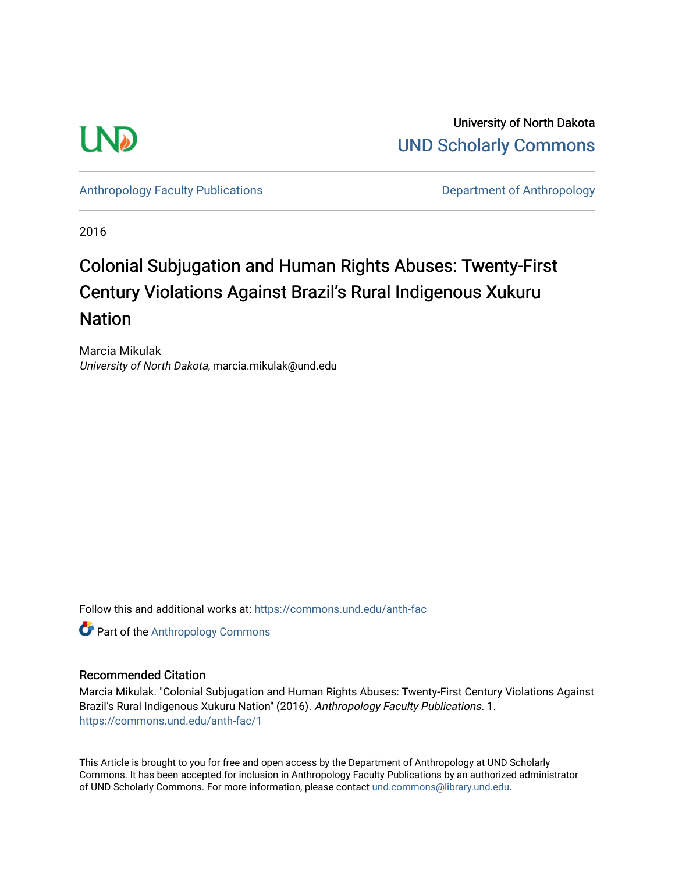

University of North Dakota [UND Scholarly Commons](https://commons.und.edu/) 

[Anthropology Faculty Publications](https://commons.und.edu/anth-fac) **Department of Anthropology** 

2016

# Colonial Subjugation and Human Rights Abuses: Twenty-First Century Violations Against Brazil's Rural Indigenous Xukuru **Nation**

Marcia Mikulak University of North Dakota, marcia.mikulak@und.edu

Follow this and additional works at: [https://commons.und.edu/anth-fac](https://commons.und.edu/anth-fac?utm_source=commons.und.edu%2Fanth-fac%2F1&utm_medium=PDF&utm_campaign=PDFCoverPages)

**Part of the [Anthropology Commons](http://network.bepress.com/hgg/discipline/318?utm_source=commons.und.edu%2Fanth-fac%2F1&utm_medium=PDF&utm_campaign=PDFCoverPages)** 

## Recommended Citation

Marcia Mikulak. "Colonial Subjugation and Human Rights Abuses: Twenty-First Century Violations Against Brazil's Rural Indigenous Xukuru Nation" (2016). Anthropology Faculty Publications. 1. [https://commons.und.edu/anth-fac/1](https://commons.und.edu/anth-fac/1?utm_source=commons.und.edu%2Fanth-fac%2F1&utm_medium=PDF&utm_campaign=PDFCoverPages) 

This Article is brought to you for free and open access by the Department of Anthropology at UND Scholarly Commons. It has been accepted for inclusion in Anthropology Faculty Publications by an authorized administrator of UND Scholarly Commons. For more information, please contact [und.commons@library.und.edu](mailto:und.commons@library.und.edu).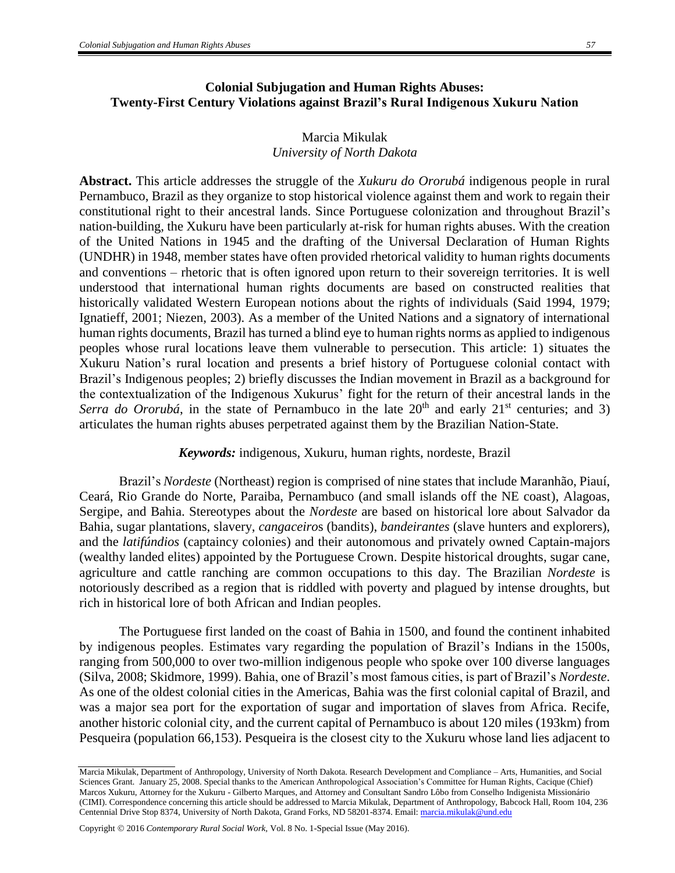# **Colonial Subjugation and Human Rights Abuses: Twenty-First Century Violations against Brazil's Rural Indigenous Xukuru Nation**

# Marcia Mikulak *University of North Dakota*

**Abstract.** This article addresses the struggle of the *Xukuru do Ororubá* indigenous people in rural Pernambuco, Brazil as they organize to stop historical violence against them and work to regain their constitutional right to their ancestral lands. Since Portuguese colonization and throughout Brazil's nation-building, the Xukuru have been particularly at-risk for human rights abuses. With the creation of the United Nations in 1945 and the drafting of the Universal Declaration of Human Rights (UNDHR) in 1948, member states have often provided rhetorical validity to human rights documents and conventions – rhetoric that is often ignored upon return to their sovereign territories. It is well understood that international human rights documents are based on constructed realities that historically validated Western European notions about the rights of individuals (Said 1994, 1979; Ignatieff, 2001; Niezen, 2003). As a member of the United Nations and a signatory of international human rights documents, Brazil has turned a blind eye to human rights norms as applied to indigenous peoples whose rural locations leave them vulnerable to persecution. This article: 1) situates the Xukuru Nation's rural location and presents a brief history of Portuguese colonial contact with Brazil's Indigenous peoples; 2) briefly discusses the Indian movement in Brazil as a background for the contextualization of the Indigenous Xukurus' fight for the return of their ancestral lands in the *Serra do Ororubá*, in the state of Pernambuco in the late  $20<sup>th</sup>$  and early  $21<sup>st</sup>$  centuries; and 3) articulates the human rights abuses perpetrated against them by the Brazilian Nation-State.

#### *Keywords:* indigenous, Xukuru, human rights, nordeste, Brazil

Brazil's *Nordeste* (Northeast) region is comprised of nine states that include Maranhão, Piauí, Ceará, Rio Grande do Norte, Paraiba, Pernambuco (and small islands off the NE coast), Alagoas, Sergipe, and Bahia. Stereotypes about the *Nordeste* are based on historical lore about Salvador da Bahia, sugar plantations, slavery, *cangaceiro*s (bandits), *bandeirantes* (slave hunters and explorers), and the *latifúndios* (captaincy colonies) and their autonomous and privately owned Captain-majors (wealthy landed elites) appointed by the Portuguese Crown. Despite historical droughts, sugar cane, agriculture and cattle ranching are common occupations to this day. The Brazilian *Nordeste* is notoriously described as a region that is riddled with poverty and plagued by intense droughts, but rich in historical lore of both African and Indian peoples.

The Portuguese first landed on the coast of Bahia in 1500, and found the continent inhabited by indigenous peoples. Estimates vary regarding the population of Brazil's Indians in the 1500s, ranging from 500,000 to over two-million indigenous people who spoke over 100 diverse languages (Silva, 2008; Skidmore, 1999). Bahia, one of Brazil's most famous cities, is part of Brazil's *Nordeste*. As one of the oldest colonial cities in the Americas, Bahia was the first colonial capital of Brazil, and was a major sea port for the exportation of sugar and importation of slaves from Africa. Recife, another historic colonial city, and the current capital of Pernambuco is about 120 miles (193km) from Pesqueira (population 66,153). Pesqueira is the closest city to the Xukuru whose land lies adjacent to

Marcia Mikulak, Department of Anthropology, University of North Dakota. Research Development and Compliance – Arts, Humanities, and Social Sciences Grant. January 25, 2008. Special thanks to the American Anthropological Association's Committee for Human Rights, Cacique (Chief) Marcos Xukuru, Attorney for the Xukuru - Gilberto Marques, and Attorney and Consultant Sandro Lôbo from Conselho Indigenista Missionário (CIMI). Correspondence concerning this article should be addressed to Marcia Mikulak, Department of Anthropology, Babcock Hall, Room 104, 236 Centennial Drive Stop 8374, University of North Dakota, Grand Forks, ND 58201-8374. Email[: marcia.mikulak@und.edu](mailto:marcia.mikulak@und.edu)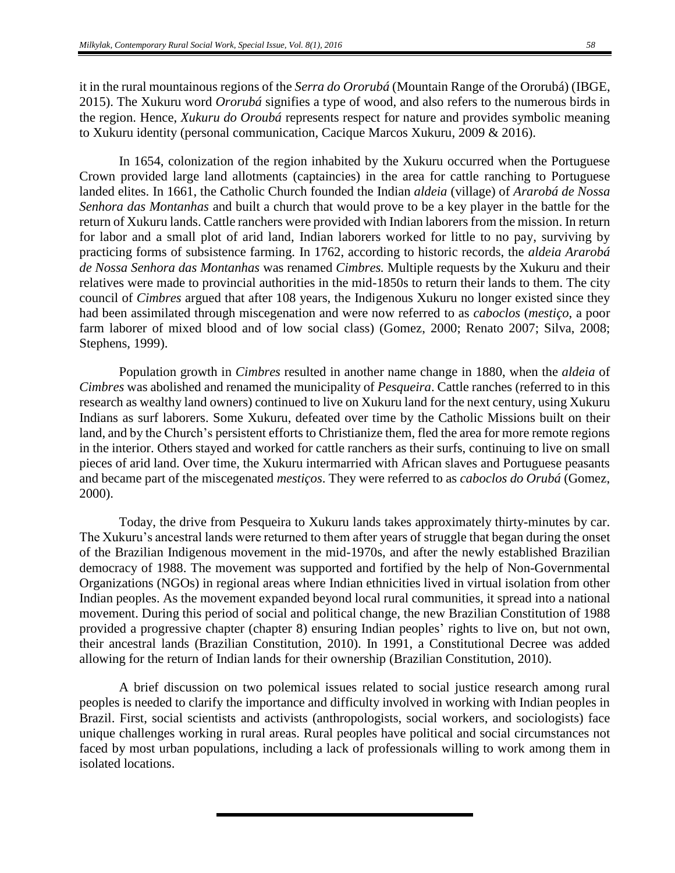it in the rural mountainous regions of the *Serra do Ororubá* (Mountain Range of the Ororubá) (IBGE, 2015). The Xukuru word *Ororubá* signifies a type of wood, and also refers to the numerous birds in the region. Hence, *Xukuru do Oroubá* represents respect for nature and provides symbolic meaning to Xukuru identity (personal communication, Cacique Marcos Xukuru, 2009 & 2016).

In 1654, colonization of the region inhabited by the Xukuru occurred when the Portuguese Crown provided large land allotments (captaincies) in the area for cattle ranching to Portuguese landed elites. In 1661, the Catholic Church founded the Indian *aldeia* (village) of *Ararobá de Nossa Senhora das Montanhas* and built a church that would prove to be a key player in the battle for the return of Xukuru lands. Cattle ranchers were provided with Indian laborers from the mission. In return for labor and a small plot of arid land, Indian laborers worked for little to no pay, surviving by practicing forms of subsistence farming. In 1762, according to historic records, the *aldeia Ararobá de Nossa Senhora das Montanhas* was renamed *Cimbres.* Multiple requests by the Xukuru and their relatives were made to provincial authorities in the mid-1850s to return their lands to them. The city council of *Cimbres* argued that after 108 years, the Indigenous Xukuru no longer existed since they had been assimilated through miscegenation and were now referred to as *caboclos* (*mestiço*, a poor farm laborer of mixed blood and of low social class) (Gomez, 2000; Renato 2007; Silva, 2008; Stephens, 1999).

Population growth in *Cimbres* resulted in another name change in 1880, when the *aldeia* of *Cimbres* was abolished and renamed the municipality of *Pesqueira*. Cattle ranches (referred to in this research as wealthy land owners) continued to live on Xukuru land for the next century, using Xukuru Indians as surf laborers. Some Xukuru, defeated over time by the Catholic Missions built on their land, and by the Church's persistent efforts to Christianize them, fled the area for more remote regions in the interior. Others stayed and worked for cattle ranchers as their surfs, continuing to live on small pieces of arid land. Over time, the Xukuru intermarried with African slaves and Portuguese peasants and became part of the miscegenated *mestiços*. They were referred to as *caboclos do Orubá* (Gomez, 2000).

Today, the drive from Pesqueira to Xukuru lands takes approximately thirty-minutes by car. The Xukuru's ancestral lands were returned to them after years of struggle that began during the onset of the Brazilian Indigenous movement in the mid-1970s, and after the newly established Brazilian democracy of 1988. The movement was supported and fortified by the help of Non-Governmental Organizations (NGOs) in regional areas where Indian ethnicities lived in virtual isolation from other Indian peoples. As the movement expanded beyond local rural communities, it spread into a national movement. During this period of social and political change, the new Brazilian Constitution of 1988 provided a progressive chapter (chapter 8) ensuring Indian peoples' rights to live on, but not own, their ancestral lands (Brazilian Constitution, 2010). In 1991, a Constitutional Decree was added allowing for the return of Indian lands for their ownership (Brazilian Constitution, 2010).

A brief discussion on two polemical issues related to social justice research among rural peoples is needed to clarify the importance and difficulty involved in working with Indian peoples in Brazil. First, social scientists and activists (anthropologists, social workers, and sociologists) face unique challenges working in rural areas. Rural peoples have political and social circumstances not faced by most urban populations, including a lack of professionals willing to work among them in isolated locations.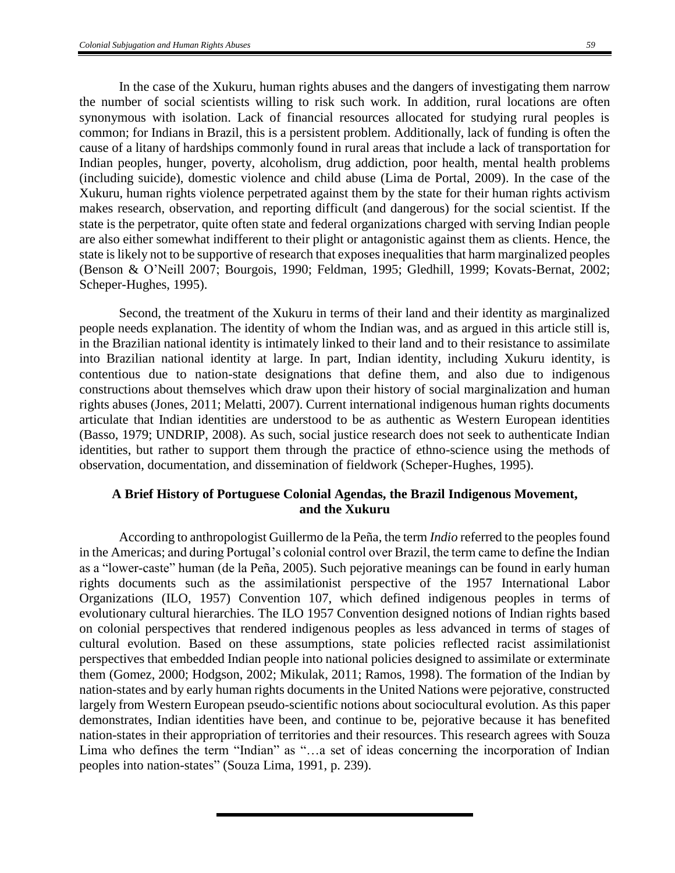In the case of the Xukuru, human rights abuses and the dangers of investigating them narrow the number of social scientists willing to risk such work. In addition, rural locations are often synonymous with isolation. Lack of financial resources allocated for studying rural peoples is common; for Indians in Brazil, this is a persistent problem. Additionally, lack of funding is often the cause of a litany of hardships commonly found in rural areas that include a lack of transportation for Indian peoples, hunger, poverty, alcoholism, drug addiction, poor health, mental health problems (including suicide), domestic violence and child abuse (Lima de Portal, 2009). In the case of the Xukuru, human rights violence perpetrated against them by the state for their human rights activism makes research, observation, and reporting difficult (and dangerous) for the social scientist. If the state is the perpetrator, quite often state and federal organizations charged with serving Indian people are also either somewhat indifferent to their plight or antagonistic against them as clients. Hence, the state is likely not to be supportive of research that exposes inequalities that harm marginalized peoples (Benson & O'Neill 2007; Bourgois, 1990; Feldman, 1995; Gledhill, 1999; Kovats-Bernat, 2002; Scheper-Hughes, 1995).

Second, the treatment of the Xukuru in terms of their land and their identity as marginalized people needs explanation. The identity of whom the Indian was, and as argued in this article still is, in the Brazilian national identity is intimately linked to their land and to their resistance to assimilate into Brazilian national identity at large. In part, Indian identity, including Xukuru identity, is contentious due to nation-state designations that define them, and also due to indigenous constructions about themselves which draw upon their history of social marginalization and human rights abuses (Jones, 2011; Melatti, 2007). Current international indigenous human rights documents articulate that Indian identities are understood to be as authentic as Western European identities (Basso, 1979; UNDRIP, 2008). As such, social justice research does not seek to authenticate Indian identities, but rather to support them through the practice of ethno-science using the methods of observation, documentation, and dissemination of fieldwork (Scheper-Hughes, 1995).

## **A Brief History of Portuguese Colonial Agendas, the Brazil Indigenous Movement, and the Xukuru**

According to anthropologist Guillermo de la Peña, the term *Indio* referred to the peoples found in the Americas; and during Portugal's colonial control over Brazil, the term came to define the Indian as a "lower-caste" human (de la Peña, 2005). Such pejorative meanings can be found in early human rights documents such as the assimilationist perspective of the 1957 International Labor Organizations (ILO, 1957) Convention 107, which defined indigenous peoples in terms of evolutionary cultural hierarchies. The ILO 1957 Convention designed notions of Indian rights based on colonial perspectives that rendered indigenous peoples as less advanced in terms of stages of cultural evolution. Based on these assumptions, state policies reflected racist assimilationist perspectives that embedded Indian people into national policies designed to assimilate or exterminate them (Gomez, 2000; Hodgson, 2002; Mikulak, 2011; Ramos, 1998). The formation of the Indian by nation-states and by early human rights documents in the United Nations were pejorative, constructed largely from Western European pseudo-scientific notions about sociocultural evolution. As this paper demonstrates, Indian identities have been, and continue to be, pejorative because it has benefited nation-states in their appropriation of territories and their resources. This research agrees with Souza Lima who defines the term "Indian" as "…a set of ideas concerning the incorporation of Indian peoples into nation-states" (Souza Lima, 1991, p. 239).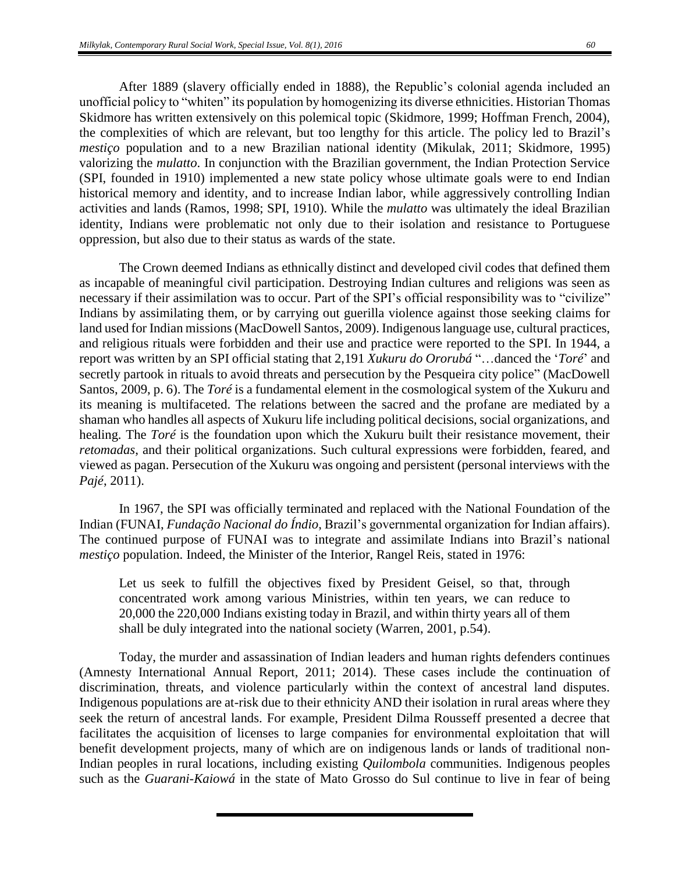After 1889 (slavery officially ended in 1888), the Republic's colonial agenda included an unofficial policy to "whiten" its population by homogenizing its diverse ethnicities. Historian Thomas Skidmore has written extensively on this polemical topic (Skidmore, 1999; Hoffman French, 2004), the complexities of which are relevant, but too lengthy for this article. The policy led to Brazil's *mestiço* population and to a new Brazilian national identity (Mikulak, 2011; Skidmore, 1995) valorizing the *mulatto*. In conjunction with the Brazilian government, the Indian Protection Service (SPI, founded in 1910) implemented a new state policy whose ultimate goals were to end Indian historical memory and identity, and to increase Indian labor, while aggressively controlling Indian activities and lands (Ramos, 1998; SPI, 1910). While the *mulatto* was ultimately the ideal Brazilian identity, Indians were problematic not only due to their isolation and resistance to Portuguese oppression, but also due to their status as wards of the state.

The Crown deemed Indians as ethnically distinct and developed civil codes that defined them as incapable of meaningful civil participation. Destroying Indian cultures and religions was seen as necessary if their assimilation was to occur. Part of the SPI's official responsibility was to "civilize" Indians by assimilating them, or by carrying out guerilla violence against those seeking claims for land used for Indian missions (MacDowell Santos, 2009). Indigenous language use, cultural practices, and religious rituals were forbidden and their use and practice were reported to the SPI. In 1944, a report was written by an SPI official stating that 2,191 *Xukuru do Ororubá* "…danced the '*Toré*' and secretly partook in rituals to avoid threats and persecution by the Pesqueira city police" (MacDowell Santos, 2009, p. 6). The *Toré* is a fundamental element in the cosmological system of the Xukuru and its meaning is multifaceted. The relations between the sacred and the profane are mediated by a shaman who handles all aspects of Xukuru life including political decisions, social organizations, and healing. The *Toré* is the foundation upon which the Xukuru built their resistance movement, their *retomadas*, and their political organizations. Such cultural expressions were forbidden, feared, and viewed as pagan. Persecution of the Xukuru was ongoing and persistent (personal interviews with the *Pajé*, 2011).

In 1967, the SPI was officially terminated and replaced with the National Foundation of the Indian (FUNAI, *Fundação Nacional do Índio*, Brazil's governmental organization for Indian affairs). The continued purpose of FUNAI was to integrate and assimilate Indians into Brazil's national *mestiço* population. Indeed, the Minister of the Interior, Rangel Reis, stated in 1976:

Let us seek to fulfill the objectives fixed by President Geisel, so that, through concentrated work among various Ministries, within ten years, we can reduce to 20,000 the 220,000 Indians existing today in Brazil, and within thirty years all of them shall be duly integrated into the national society (Warren, 2001, p.54).

Today, the murder and assassination of Indian leaders and human rights defenders continues (Amnesty International Annual Report, 2011; 2014). These cases include the continuation of discrimination, threats, and violence particularly within the context of ancestral land disputes. Indigenous populations are at-risk due to their ethnicity AND their isolation in rural areas where they seek the return of ancestral lands. For example, President Dilma Rousseff presented a decree that facilitates the acquisition of licenses to large companies for environmental exploitation that will benefit development projects, many of which are on indigenous lands or lands of traditional non-Indian peoples in rural locations, including existing *Quilombola* communities. Indigenous peoples such as the *Guarani-Kaiowá* in the state of Mato Grosso do Sul continue to live in fear of being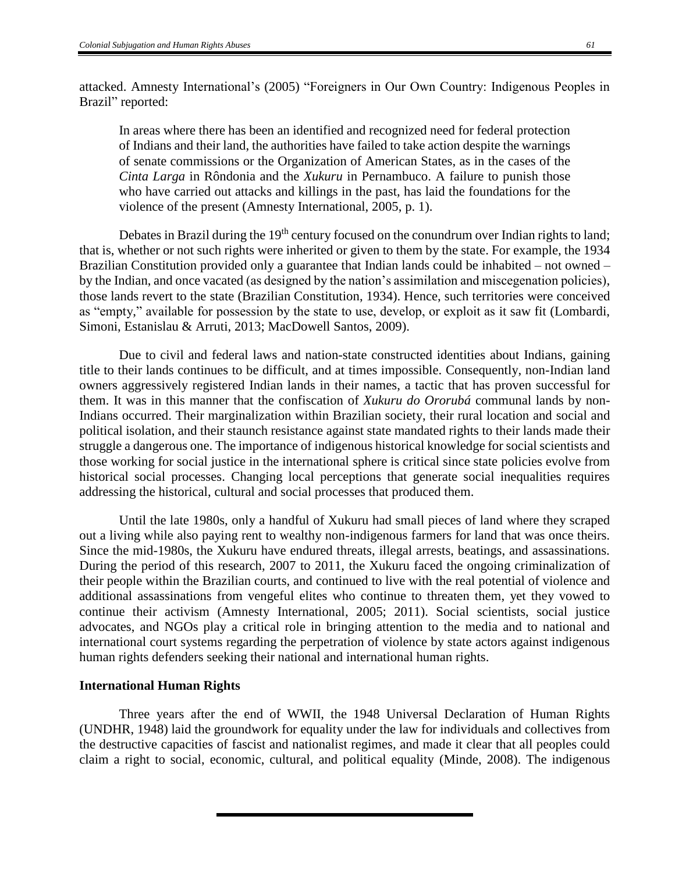attacked. Amnesty International's (2005) "Foreigners in Our Own Country: Indigenous Peoples in Brazil" reported:

In areas where there has been an identified and recognized need for federal protection of Indians and their land, the authorities have failed to take action despite the warnings of senate commissions or the Organization of American States, as in the cases of the *Cinta Larga* in Rôndonia and the *Xukuru* in Pernambuco. A failure to punish those who have carried out attacks and killings in the past, has laid the foundations for the violence of the present (Amnesty International, 2005, p. 1).

Debates in Brazil during the 19<sup>th</sup> century focused on the conundrum over Indian rights to land; that is, whether or not such rights were inherited or given to them by the state. For example, the 1934 Brazilian Constitution provided only a guarantee that Indian lands could be inhabited – not owned – by the Indian, and once vacated (as designed by the nation's assimilation and miscegenation policies), those lands revert to the state (Brazilian Constitution, 1934). Hence, such territories were conceived as "empty," available for possession by the state to use, develop, or exploit as it saw fit (Lombardi, Simoni, Estanislau & Arruti, 2013; MacDowell Santos, 2009).

Due to civil and federal laws and nation-state constructed identities about Indians, gaining title to their lands continues to be difficult, and at times impossible. Consequently, non-Indian land owners aggressively registered Indian lands in their names, a tactic that has proven successful for them. It was in this manner that the confiscation of *Xukuru do Ororubá* communal lands by non-Indians occurred. Their marginalization within Brazilian society, their rural location and social and political isolation, and their staunch resistance against state mandated rights to their lands made their struggle a dangerous one. The importance of indigenous historical knowledge for social scientists and those working for social justice in the international sphere is critical since state policies evolve from historical social processes. Changing local perceptions that generate social inequalities requires addressing the historical, cultural and social processes that produced them.

Until the late 1980s, only a handful of Xukuru had small pieces of land where they scraped out a living while also paying rent to wealthy non-indigenous farmers for land that was once theirs. Since the mid-1980s, the Xukuru have endured threats, illegal arrests, beatings, and assassinations. During the period of this research, 2007 to 2011, the Xukuru faced the ongoing criminalization of their people within the Brazilian courts, and continued to live with the real potential of violence and additional assassinations from vengeful elites who continue to threaten them, yet they vowed to continue their activism (Amnesty International, 2005; 2011). Social scientists, social justice advocates, and NGOs play a critical role in bringing attention to the media and to national and international court systems regarding the perpetration of violence by state actors against indigenous human rights defenders seeking their national and international human rights.

#### **International Human Rights**

Three years after the end of WWII, the 1948 Universal Declaration of Human Rights (UNDHR, 1948) laid the groundwork for equality under the law for individuals and collectives from the destructive capacities of fascist and nationalist regimes, and made it clear that all peoples could claim a right to social, economic, cultural, and political equality (Minde, 2008). The indigenous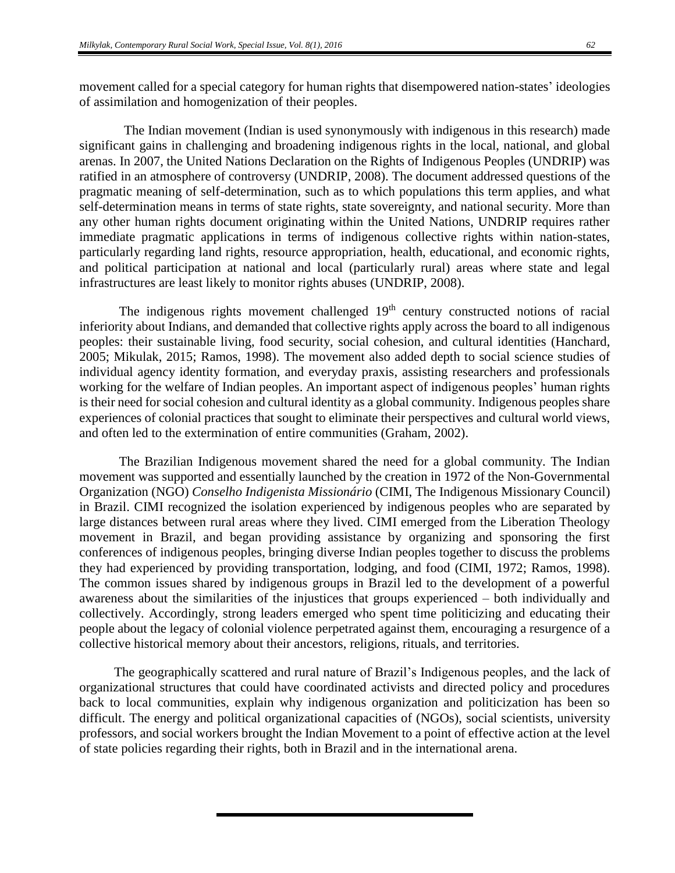movement called for a special category for human rights that disempowered nation-states' ideologies of assimilation and homogenization of their peoples.

The Indian movement (Indian is used synonymously with indigenous in this research) made significant gains in challenging and broadening indigenous rights in the local, national, and global arenas. In 2007, the United Nations Declaration on the Rights of Indigenous Peoples (UNDRIP) was ratified in an atmosphere of controversy (UNDRIP, 2008). The document addressed questions of the pragmatic meaning of self-determination, such as to which populations this term applies, and what self-determination means in terms of state rights, state sovereignty, and national security. More than any other human rights document originating within the United Nations, UNDRIP requires rather immediate pragmatic applications in terms of indigenous collective rights within nation-states, particularly regarding land rights, resource appropriation, health, educational, and economic rights, and political participation at national and local (particularly rural) areas where state and legal infrastructures are least likely to monitor rights abuses (UNDRIP, 2008).

The indigenous rights movement challenged  $19<sup>th</sup>$  century constructed notions of racial inferiority about Indians, and demanded that collective rights apply across the board to all indigenous peoples: their sustainable living, food security, social cohesion, and cultural identities (Hanchard, 2005; Mikulak, 2015; Ramos, 1998). The movement also added depth to social science studies of individual agency identity formation, and everyday praxis, assisting researchers and professionals working for the welfare of Indian peoples. An important aspect of indigenous peoples' human rights is their need for social cohesion and cultural identity as a global community. Indigenous peoples share experiences of colonial practices that sought to eliminate their perspectives and cultural world views, and often led to the extermination of entire communities (Graham, 2002).

The Brazilian Indigenous movement shared the need for a global community. The Indian movement was supported and essentially launched by the creation in 1972 of the Non-Governmental Organization (NGO) *Conselho Indigenista Missionário* (CIMI, The Indigenous Missionary Council) in Brazil. CIMI recognized the isolation experienced by indigenous peoples who are separated by large distances between rural areas where they lived. CIMI emerged from the Liberation Theology movement in Brazil, and began providing assistance by organizing and sponsoring the first conferences of indigenous peoples, bringing diverse Indian peoples together to discuss the problems they had experienced by providing transportation, lodging, and food (CIMI, 1972; Ramos, 1998). The common issues shared by indigenous groups in Brazil led to the development of a powerful awareness about the similarities of the injustices that groups experienced – both individually and collectively. Accordingly, strong leaders emerged who spent time politicizing and educating their people about the legacy of colonial violence perpetrated against them, encouraging a resurgence of a collective historical memory about their ancestors, religions, rituals, and territories.

The geographically scattered and rural nature of Brazil's Indigenous peoples, and the lack of organizational structures that could have coordinated activists and directed policy and procedures back to local communities, explain why indigenous organization and politicization has been so difficult. The energy and political organizational capacities of (NGOs), social scientists, university professors, and social workers brought the Indian Movement to a point of effective action at the level of state policies regarding their rights, both in Brazil and in the international arena.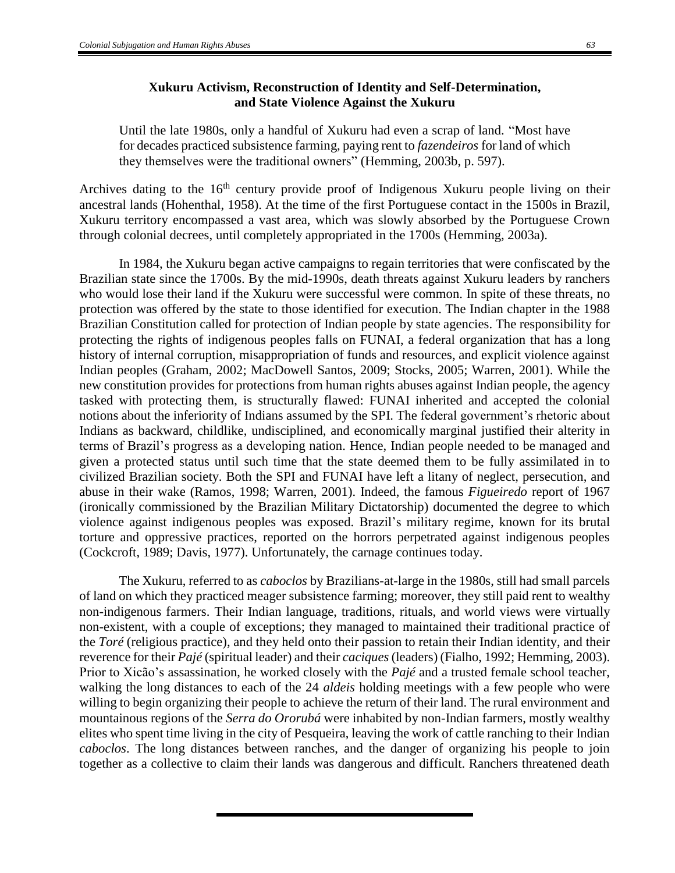## **Xukuru Activism, Reconstruction of Identity and Self-Determination, and State Violence Against the Xukuru**

Until the late 1980s, only a handful of Xukuru had even a scrap of land. "Most have for decades practiced subsistence farming, paying rent to *fazendeiros* for land of which they themselves were the traditional owners" (Hemming, 2003b, p. 597).

Archives dating to the  $16<sup>th</sup>$  century provide proof of Indigenous Xukuru people living on their ancestral lands (Hohenthal, 1958). At the time of the first Portuguese contact in the 1500s in Brazil, Xukuru territory encompassed a vast area, which was slowly absorbed by the Portuguese Crown through colonial decrees, until completely appropriated in the 1700s (Hemming, 2003a).

In 1984, the Xukuru began active campaigns to regain territories that were confiscated by the Brazilian state since the 1700s. By the mid-1990s, death threats against Xukuru leaders by ranchers who would lose their land if the Xukuru were successful were common. In spite of these threats, no protection was offered by the state to those identified for execution. The Indian chapter in the 1988 Brazilian Constitution called for protection of Indian people by state agencies. The responsibility for protecting the rights of indigenous peoples falls on FUNAI, a federal organization that has a long history of internal corruption, misappropriation of funds and resources, and explicit violence against Indian peoples (Graham, 2002; MacDowell Santos, 2009; Stocks, 2005; Warren, 2001). While the new constitution provides for protections from human rights abuses against Indian people, the agency tasked with protecting them, is structurally flawed: FUNAI inherited and accepted the colonial notions about the inferiority of Indians assumed by the SPI. The federal government's rhetoric about Indians as backward, childlike, undisciplined, and economically marginal justified their alterity in terms of Brazil's progress as a developing nation. Hence, Indian people needed to be managed and given a protected status until such time that the state deemed them to be fully assimilated in to civilized Brazilian society. Both the SPI and FUNAI have left a litany of neglect, persecution, and abuse in their wake (Ramos, 1998; Warren, 2001). Indeed, the famous *Figueiredo* report of 1967 (ironically commissioned by the Brazilian Military Dictatorship) documented the degree to which violence against indigenous peoples was exposed. Brazil's military regime, known for its brutal torture and oppressive practices, reported on the horrors perpetrated against indigenous peoples (Cockcroft, 1989; Davis, 1977). Unfortunately, the carnage continues today.

The Xukuru, referred to as *caboclos* by Brazilians-at-large in the 1980s, still had small parcels of land on which they practiced meager subsistence farming; moreover, they still paid rent to wealthy non-indigenous farmers. Their Indian language, traditions, rituals, and world views were virtually non-existent, with a couple of exceptions; they managed to maintained their traditional practice of the *Toré* (religious practice), and they held onto their passion to retain their Indian identity, and their reverence for their *Pajé* (spiritual leader) and their *caciques*(leaders) (Fialho, 1992; Hemming, 2003). Prior to Xicão's assassination, he worked closely with the *Pajé* and a trusted female school teacher, walking the long distances to each of the 24 *aldeis* holding meetings with a few people who were willing to begin organizing their people to achieve the return of their land. The rural environment and mountainous regions of the *Serra do Ororubá* were inhabited by non-Indian farmers, mostly wealthy elites who spent time living in the city of Pesqueira, leaving the work of cattle ranching to their Indian *caboclos*. The long distances between ranches, and the danger of organizing his people to join together as a collective to claim their lands was dangerous and difficult. Ranchers threatened death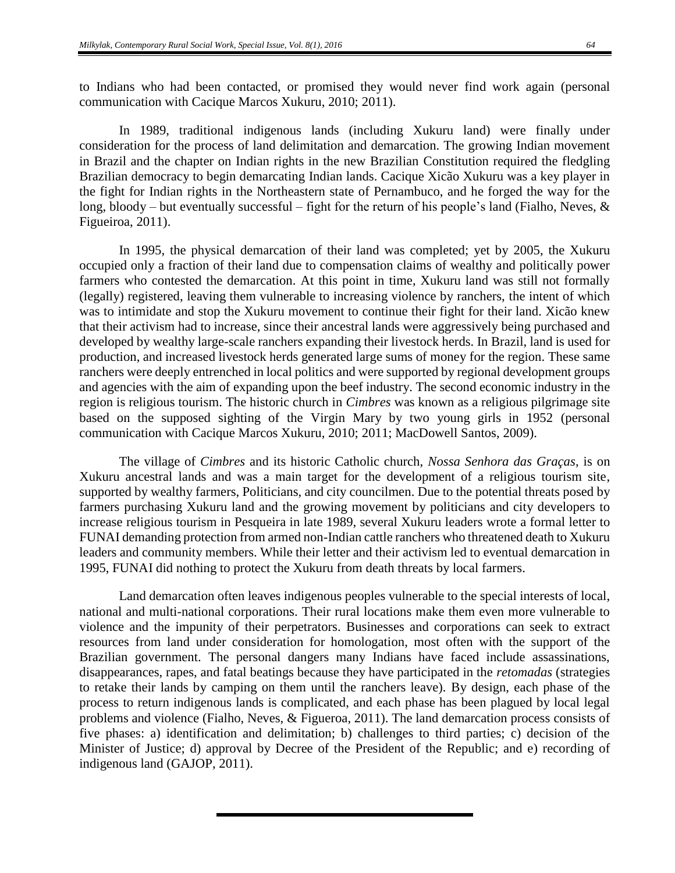to Indians who had been contacted, or promised they would never find work again (personal communication with Cacique Marcos Xukuru, 2010; 2011).

In 1989, traditional indigenous lands (including Xukuru land) were finally under consideration for the process of land delimitation and demarcation. The growing Indian movement in Brazil and the chapter on Indian rights in the new Brazilian Constitution required the fledgling Brazilian democracy to begin demarcating Indian lands. Cacique Xicão Xukuru was a key player in the fight for Indian rights in the Northeastern state of Pernambuco, and he forged the way for the long, bloody – but eventually successful – fight for the return of his people's land (Fialho, Neves,  $\&$ Figueiroa, 2011).

In 1995, the physical demarcation of their land was completed; yet by 2005, the Xukuru occupied only a fraction of their land due to compensation claims of wealthy and politically power farmers who contested the demarcation. At this point in time, Xukuru land was still not formally (legally) registered, leaving them vulnerable to increasing violence by ranchers, the intent of which was to intimidate and stop the Xukuru movement to continue their fight for their land. Xicão knew that their activism had to increase, since their ancestral lands were aggressively being purchased and developed by wealthy large-scale ranchers expanding their livestock herds. In Brazil, land is used for production, and increased livestock herds generated large sums of money for the region. These same ranchers were deeply entrenched in local politics and were supported by regional development groups and agencies with the aim of expanding upon the beef industry. The second economic industry in the region is religious tourism. The historic church in *Cimbres* was known as a religious pilgrimage site based on the supposed sighting of the Virgin Mary by two young girls in 1952 (personal communication with Cacique Marcos Xukuru, 2010; 2011; MacDowell Santos, 2009).

The village of *Cimbres* and its historic Catholic church, *Nossa Senhora das Graças*, is on Xukuru ancestral lands and was a main target for the development of a religious tourism site, supported by wealthy farmers, Politicians, and city councilmen. Due to the potential threats posed by farmers purchasing Xukuru land and the growing movement by politicians and city developers to increase religious tourism in Pesqueira in late 1989, several Xukuru leaders wrote a formal letter to FUNAI demanding protection from armed non-Indian cattle ranchers who threatened death to Xukuru leaders and community members. While their letter and their activism led to eventual demarcation in 1995, FUNAI did nothing to protect the Xukuru from death threats by local farmers.

Land demarcation often leaves indigenous peoples vulnerable to the special interests of local, national and multi-national corporations. Their rural locations make them even more vulnerable to violence and the impunity of their perpetrators. Businesses and corporations can seek to extract resources from land under consideration for homologation, most often with the support of the Brazilian government. The personal dangers many Indians have faced include assassinations, disappearances, rapes, and fatal beatings because they have participated in the *retomadas* (strategies to retake their lands by camping on them until the ranchers leave)*.* By design, each phase of the process to return indigenous lands is complicated, and each phase has been plagued by local legal problems and violence (Fialho, Neves, & Figueroa, 2011). The land demarcation process consists of five phases: a) identification and delimitation; b) challenges to third parties; c) decision of the Minister of Justice; d) approval by Decree of the President of the Republic; and e) recording of indigenous land (GAJOP, 2011).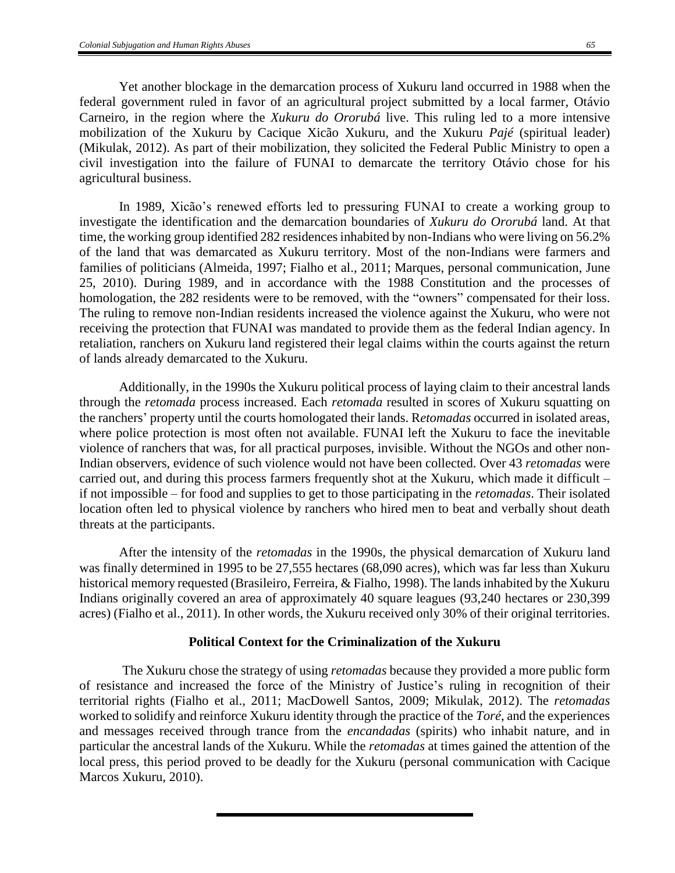Yet another blockage in the demarcation process of Xukuru land occurred in 1988 when the federal government ruled in favor of an agricultural project submitted by a local farmer, Otávio Carneiro, in the region where the *Xukuru do Ororubá* live. This ruling led to a more intensive mobilization of the Xukuru by Cacique Xicão Xukuru, and the Xukuru *Pajé* (spiritual leader) (Mikulak, 2012). As part of their mobilization, they solicited the Federal Public Ministry to open a civil investigation into the failure of FUNAI to demarcate the territory Otávio chose for his agricultural business.

In 1989, Xicão's renewed efforts led to pressuring FUNAI to create a working group to investigate the identification and the demarcation boundaries of *Xukuru do Ororubá* land. At that time, the working group identified 282 residences inhabited by non-Indians who were living on 56.2% of the land that was demarcated as Xukuru territory. Most of the non-Indians were farmers and families of politicians (Almeida, 1997; Fialho et al., 2011; Marques, personal communication, June 25, 2010). During 1989, and in accordance with the 1988 Constitution and the processes of homologation, the 282 residents were to be removed, with the "owners" compensated for their loss. The ruling to remove non-Indian residents increased the violence against the Xukuru, who were not receiving the protection that FUNAI was mandated to provide them as the federal Indian agency. In retaliation, ranchers on Xukuru land registered their legal claims within the courts against the return of lands already demarcated to the Xukuru.

Additionally, in the 1990s the Xukuru political process of laying claim to their ancestral lands through the *retomada* process increased. Each *retomada* resulted in scores of Xukuru squatting on the ranchers' property until the courts homologated their lands. R*etomadas* occurred in isolated areas, where police protection is most often not available. FUNAI left the Xukuru to face the inevitable violence of ranchers that was, for all practical purposes, invisible. Without the NGOs and other non-Indian observers, evidence of such violence would not have been collected. Over 43 *retomadas* were carried out, and during this process farmers frequently shot at the Xukuru, which made it difficult – if not impossible – for food and supplies to get to those participating in the *retomadas*. Their isolated location often led to physical violence by ranchers who hired men to beat and verbally shout death threats at the participants.

After the intensity of the *retomadas* in the 1990s*,* the physical demarcation of Xukuru land was finally determined in 1995 to be 27,555 hectares (68,090 acres), which was far less than Xukuru historical memory requested (Brasileiro, Ferreira, & Fialho, 1998). The lands inhabited by the Xukuru Indians originally covered an area of approximately 40 square leagues (93,240 hectares or 230,399 acres) (Fialho et al., 2011). In other words, the Xukuru received only 30% of their original territories.

### **Political Context for the Criminalization of the Xukuru**

The Xukuru chose the strategy of using *retomadas* because they provided a more public form of resistance and increased the force of the Ministry of Justice's ruling in recognition of their territorial rights (Fialho et al., 2011; MacDowell Santos, 2009; Mikulak, 2012). The *retomadas* worked to solidify and reinforce Xukuru identity through the practice of the *Toré*, and the experiences and messages received through trance from the *encandadas* (spirits) who inhabit nature, and in particular the ancestral lands of the Xukuru. While the *retomadas* at times gained the attention of the local press, this period proved to be deadly for the Xukuru (personal communication with Cacique Marcos Xukuru, 2010).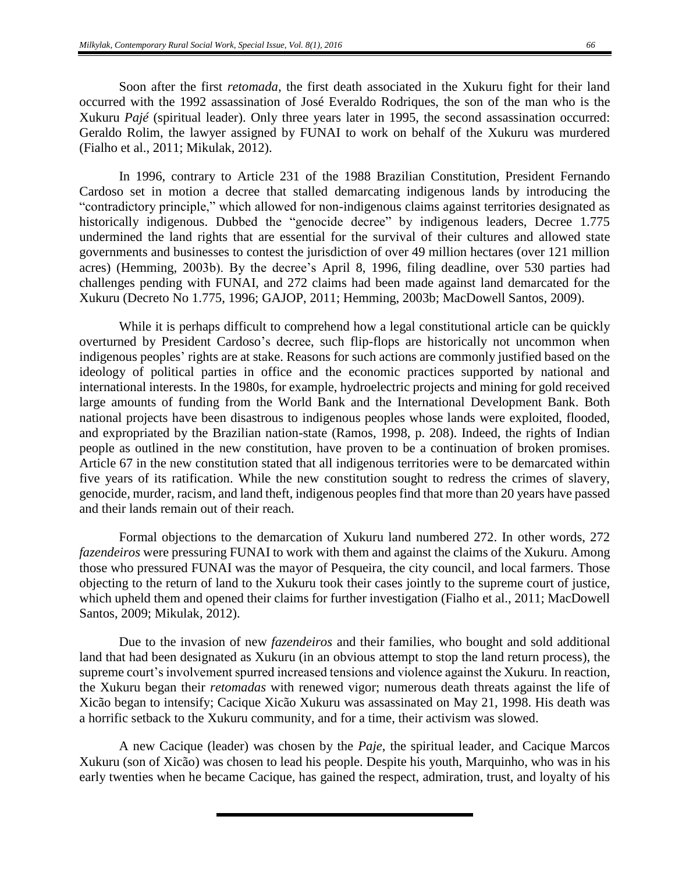Soon after the first *retomada*, the first death associated in the Xukuru fight for their land occurred with the 1992 assassination of José Everaldo Rodriques, the son of the man who is the Xukuru *Pajé* (spiritual leader). Only three years later in 1995, the second assassination occurred: Geraldo Rolim, the lawyer assigned by FUNAI to work on behalf of the Xukuru was murdered (Fialho et al., 2011; Mikulak, 2012).

In 1996, contrary to Article 231 of the 1988 Brazilian Constitution, President Fernando Cardoso set in motion a decree that stalled demarcating indigenous lands by introducing the "contradictory principle," which allowed for non-indigenous claims against territories designated as historically indigenous. Dubbed the "genocide decree" by indigenous leaders, Decree 1.775 undermined the land rights that are essential for the survival of their cultures and allowed state governments and businesses to contest the jurisdiction of over 49 million hectares (over 121 million acres) (Hemming, 2003b). By the decree's April 8, 1996, filing deadline, over 530 parties had challenges pending with FUNAI, and 272 claims had been made against land demarcated for the Xukuru (Decreto No 1.775, 1996; GAJOP, 2011; Hemming, 2003b; MacDowell Santos, 2009).

While it is perhaps difficult to comprehend how a legal constitutional article can be quickly overturned by President Cardoso's decree, such flip-flops are historically not uncommon when indigenous peoples' rights are at stake. Reasons for such actions are commonly justified based on the ideology of political parties in office and the economic practices supported by national and international interests. In the 1980s, for example, hydroelectric projects and mining for gold received large amounts of funding from the World Bank and the International Development Bank. Both national projects have been disastrous to indigenous peoples whose lands were exploited, flooded, and expropriated by the Brazilian nation-state (Ramos, 1998, p. 208). Indeed, the rights of Indian people as outlined in the new constitution, have proven to be a continuation of broken promises. Article 67 in the new constitution stated that all indigenous territories were to be demarcated within five years of its ratification. While the new constitution sought to redress the crimes of slavery, genocide, murder, racism, and land theft, indigenous peoples find that more than 20 years have passed and their lands remain out of their reach.

Formal objections to the demarcation of Xukuru land numbered 272. In other words, 272 *fazendeiros* were pressuring FUNAI to work with them and against the claims of the Xukuru. Among those who pressured FUNAI was the mayor of Pesqueira, the city council, and local farmers. Those objecting to the return of land to the Xukuru took their cases jointly to the supreme court of justice, which upheld them and opened their claims for further investigation (Fialho et al., 2011; MacDowell Santos, 2009; Mikulak, 2012).

Due to the invasion of new *fazendeiros* and their families, who bought and sold additional land that had been designated as Xukuru (in an obvious attempt to stop the land return process), the supreme court's involvement spurred increased tensions and violence against the Xukuru. In reaction, the Xukuru began their *retomadas* with renewed vigor; numerous death threats against the life of Xicão began to intensify; Cacique Xicão Xukuru was assassinated on May 21, 1998. His death was a horrific setback to the Xukuru community, and for a time, their activism was slowed.

A new Cacique (leader) was chosen by the *Paje*, the spiritual leader, and Cacique Marcos Xukuru (son of Xicão) was chosen to lead his people. Despite his youth, Marquinho, who was in his early twenties when he became Cacique, has gained the respect, admiration, trust, and loyalty of his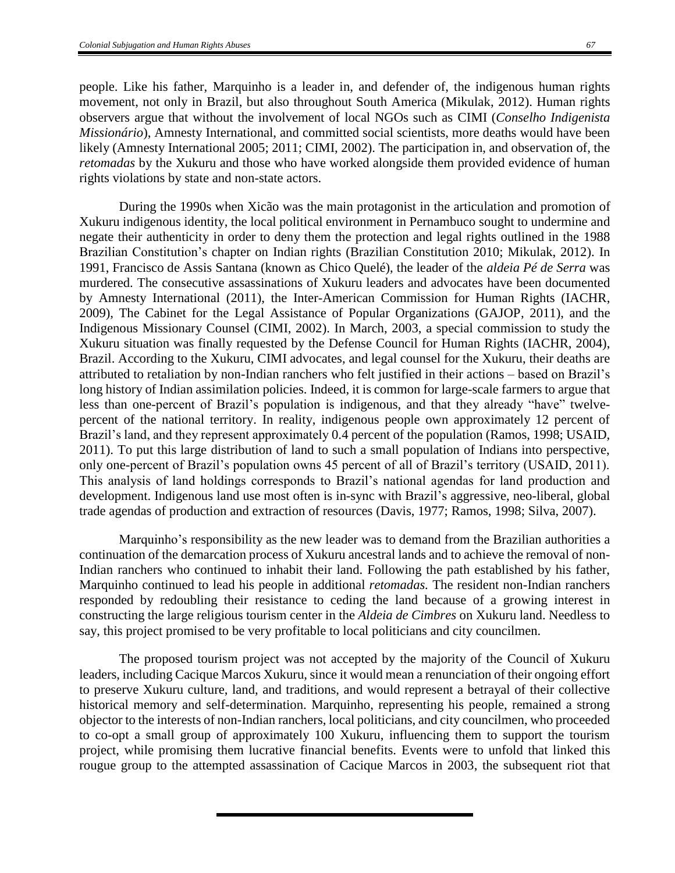people. Like his father, Marquinho is a leader in, and defender of, the indigenous human rights movement, not only in Brazil, but also throughout South America (Mikulak, 2012). Human rights observers argue that without the involvement of local NGOs such as CIMI (*Conselho Indigenista Missionário*), Amnesty International, and committed social scientists, more deaths would have been likely (Amnesty International 2005; 2011; CIMI, 2002). The participation in, and observation of, the *retomadas* by the Xukuru and those who have worked alongside them provided evidence of human rights violations by state and non-state actors.

During the 1990s when Xicão was the main protagonist in the articulation and promotion of Xukuru indigenous identity, the local political environment in Pernambuco sought to undermine and negate their authenticity in order to deny them the protection and legal rights outlined in the 1988 Brazilian Constitution's chapter on Indian rights (Brazilian Constitution 2010; Mikulak, 2012). In 1991, Francisco de Assis Santana (known as Chico Quelé), the leader of the *aldeia Pé de Serra* was murdered. The consecutive assassinations of Xukuru leaders and advocates have been documented by Amnesty International (2011), the Inter-American Commission for Human Rights (IACHR, 2009), The Cabinet for the Legal Assistance of Popular Organizations (GAJOP, 2011), and the Indigenous Missionary Counsel (CIMI, 2002). In March, 2003, a special commission to study the Xukuru situation was finally requested by the Defense Council for Human Rights (IACHR, 2004), Brazil. According to the Xukuru, CIMI advocates, and legal counsel for the Xukuru, their deaths are attributed to retaliation by non-Indian ranchers who felt justified in their actions – based on Brazil's long history of Indian assimilation policies. Indeed, it is common for large-scale farmers to argue that less than one-percent of Brazil's population is indigenous, and that they already "have" twelvepercent of the national territory. In reality, indigenous people own approximately 12 percent of Brazil's land, and they represent approximately 0.4 percent of the population (Ramos, 1998; USAID, 2011). To put this large distribution of land to such a small population of Indians into perspective, only one-percent of Brazil's population owns 45 percent of all of Brazil's territory (USAID, 2011). This analysis of land holdings corresponds to Brazil's national agendas for land production and development. Indigenous land use most often is in-sync with Brazil's aggressive, neo-liberal, global trade agendas of production and extraction of resources (Davis, 1977; Ramos, 1998; Silva, 2007).

Marquinho's responsibility as the new leader was to demand from the Brazilian authorities a continuation of the demarcation process of Xukuru ancestral lands and to achieve the removal of non-Indian ranchers who continued to inhabit their land. Following the path established by his father, Marquinho continued to lead his people in additional *retomadas.* The resident non-Indian ranchers responded by redoubling their resistance to ceding the land because of a growing interest in constructing the large religious tourism center in the *Aldeia de Cimbres* on Xukuru land. Needless to say, this project promised to be very profitable to local politicians and city councilmen.

The proposed tourism project was not accepted by the majority of the Council of Xukuru leaders, including Cacique Marcos Xukuru, since it would mean a renunciation of their ongoing effort to preserve Xukuru culture, land, and traditions, and would represent a betrayal of their collective historical memory and self-determination. Marquinho, representing his people, remained a strong objector to the interests of non-Indian ranchers, local politicians, and city councilmen, who proceeded to co-opt a small group of approximately 100 Xukuru, influencing them to support the tourism project, while promising them lucrative financial benefits. Events were to unfold that linked this rougue group to the attempted assassination of Cacique Marcos in 2003, the subsequent riot that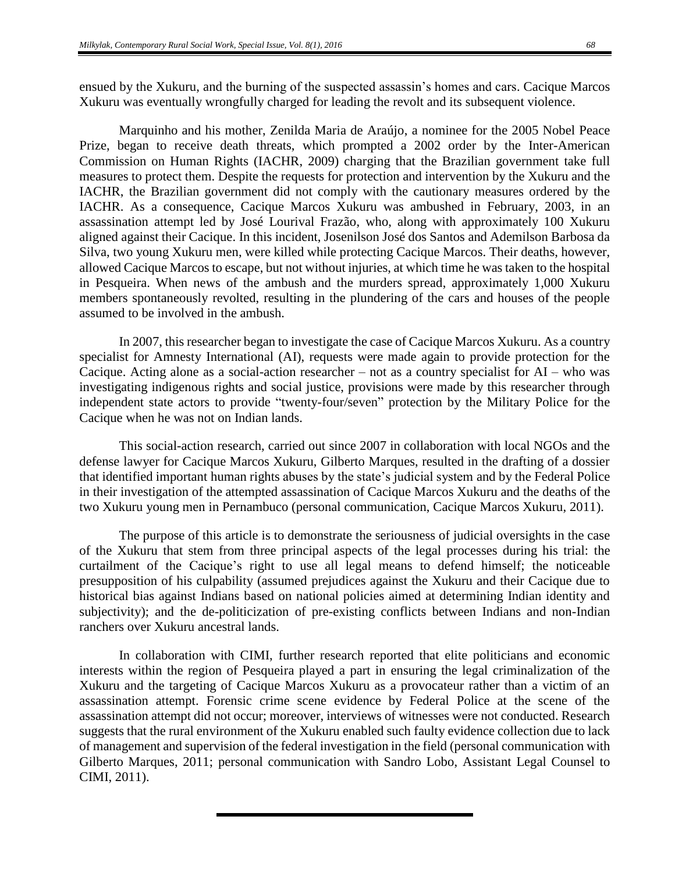ensued by the Xukuru, and the burning of the suspected assassin's homes and cars. Cacique Marcos Xukuru was eventually wrongfully charged for leading the revolt and its subsequent violence.

Marquinho and his mother, Zenilda Maria de Araújo, a nominee for the 2005 Nobel Peace Prize, began to receive death threats, which prompted a 2002 order by the Inter-American Commission on Human Rights (IACHR, 2009) charging that the Brazilian government take full measures to protect them. Despite the requests for protection and intervention by the Xukuru and the IACHR, the Brazilian government did not comply with the cautionary measures ordered by the IACHR. As a consequence, Cacique Marcos Xukuru was ambushed in February, 2003, in an assassination attempt led by José Lourival Frazão, who, along with approximately 100 Xukuru aligned against their Cacique. In this incident, Josenilson José dos Santos and Ademilson Barbosa da Silva, two young Xukuru men, were killed while protecting Cacique Marcos. Their deaths, however, allowed Cacique Marcos to escape, but not without injuries, at which time he was taken to the hospital in Pesqueira. When news of the ambush and the murders spread, approximately 1,000 Xukuru members spontaneously revolted, resulting in the plundering of the cars and houses of the people assumed to be involved in the ambush.

In 2007, this researcher began to investigate the case of Cacique Marcos Xukuru. As a country specialist for Amnesty International (AI), requests were made again to provide protection for the Cacique. Acting alone as a social-action researcher – not as a country specialist for AI – who was investigating indigenous rights and social justice, provisions were made by this researcher through independent state actors to provide "twenty-four/seven" protection by the Military Police for the Cacique when he was not on Indian lands.

This social-action research, carried out since 2007 in collaboration with local NGOs and the defense lawyer for Cacique Marcos Xukuru, Gilberto Marques, resulted in the drafting of a dossier that identified important human rights abuses by the state's judicial system and by the Federal Police in their investigation of the attempted assassination of Cacique Marcos Xukuru and the deaths of the two Xukuru young men in Pernambuco (personal communication, Cacique Marcos Xukuru, 2011).

The purpose of this article is to demonstrate the seriousness of judicial oversights in the case of the Xukuru that stem from three principal aspects of the legal processes during his trial: the curtailment of the Cacique's right to use all legal means to defend himself; the noticeable presupposition of his culpability (assumed prejudices against the Xukuru and their Cacique due to historical bias against Indians based on national policies aimed at determining Indian identity and subjectivity); and the de-politicization of pre-existing conflicts between Indians and non-Indian ranchers over Xukuru ancestral lands.

In collaboration with CIMI, further research reported that elite politicians and economic interests within the region of Pesqueira played a part in ensuring the legal criminalization of the Xukuru and the targeting of Cacique Marcos Xukuru as a provocateur rather than a victim of an assassination attempt. Forensic crime scene evidence by Federal Police at the scene of the assassination attempt did not occur; moreover, interviews of witnesses were not conducted. Research suggests that the rural environment of the Xukuru enabled such faulty evidence collection due to lack of management and supervision of the federal investigation in the field (personal communication with Gilberto Marques, 2011; personal communication with Sandro Lobo, Assistant Legal Counsel to CIMI, 2011).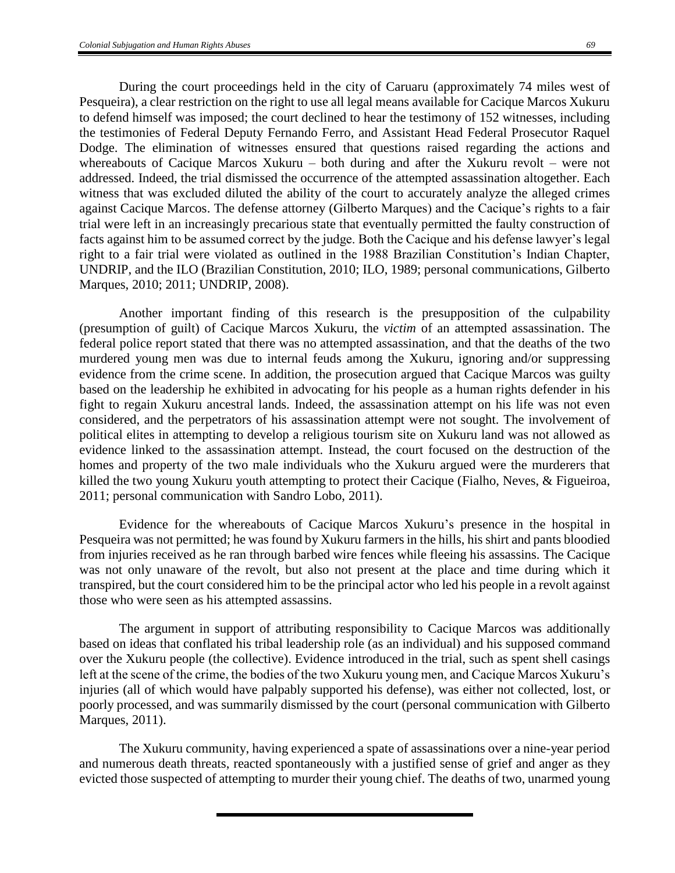During the court proceedings held in the city of Caruaru (approximately 74 miles west of Pesqueira), a clear restriction on the right to use all legal means available for Cacique Marcos Xukuru to defend himself was imposed; the court declined to hear the testimony of 152 witnesses, including the testimonies of Federal Deputy Fernando Ferro, and Assistant Head Federal Prosecutor Raquel Dodge. The elimination of witnesses ensured that questions raised regarding the actions and whereabouts of Cacique Marcos Xukuru – both during and after the Xukuru revolt – were not addressed. Indeed, the trial dismissed the occurrence of the attempted assassination altogether. Each witness that was excluded diluted the ability of the court to accurately analyze the alleged crimes against Cacique Marcos. The defense attorney (Gilberto Marques) and the Cacique's rights to a fair trial were left in an increasingly precarious state that eventually permitted the faulty construction of facts against him to be assumed correct by the judge. Both the Cacique and his defense lawyer's legal right to a fair trial were violated as outlined in the 1988 Brazilian Constitution's Indian Chapter, UNDRIP, and the ILO (Brazilian Constitution, 2010; ILO, 1989; personal communications, Gilberto Marques, 2010; 2011; UNDRIP, 2008).

Another important finding of this research is the presupposition of the culpability (presumption of guilt) of Cacique Marcos Xukuru, the *victim* of an attempted assassination. The federal police report stated that there was no attempted assassination, and that the deaths of the two murdered young men was due to internal feuds among the Xukuru, ignoring and/or suppressing evidence from the crime scene. In addition, the prosecution argued that Cacique Marcos was guilty based on the leadership he exhibited in advocating for his people as a human rights defender in his fight to regain Xukuru ancestral lands. Indeed, the assassination attempt on his life was not even considered, and the perpetrators of his assassination attempt were not sought. The involvement of political elites in attempting to develop a religious tourism site on Xukuru land was not allowed as evidence linked to the assassination attempt. Instead, the court focused on the destruction of the homes and property of the two male individuals who the Xukuru argued were the murderers that killed the two young Xukuru youth attempting to protect their Cacique (Fialho, Neves, & Figueiroa, 2011; personal communication with Sandro Lobo, 2011).

Evidence for the whereabouts of Cacique Marcos Xukuru's presence in the hospital in Pesqueira was not permitted; he was found by Xukuru farmers in the hills, his shirt and pants bloodied from injuries received as he ran through barbed wire fences while fleeing his assassins. The Cacique was not only unaware of the revolt, but also not present at the place and time during which it transpired, but the court considered him to be the principal actor who led his people in a revolt against those who were seen as his attempted assassins.

The argument in support of attributing responsibility to Cacique Marcos was additionally based on ideas that conflated his tribal leadership role (as an individual) and his supposed command over the Xukuru people (the collective). Evidence introduced in the trial, such as spent shell casings left at the scene of the crime, the bodies of the two Xukuru young men, and Cacique Marcos Xukuru's injuries (all of which would have palpably supported his defense), was either not collected, lost, or poorly processed, and was summarily dismissed by the court (personal communication with Gilberto Marques, 2011).

The Xukuru community, having experienced a spate of assassinations over a nine-year period and numerous death threats, reacted spontaneously with a justified sense of grief and anger as they evicted those suspected of attempting to murder their young chief. The deaths of two, unarmed young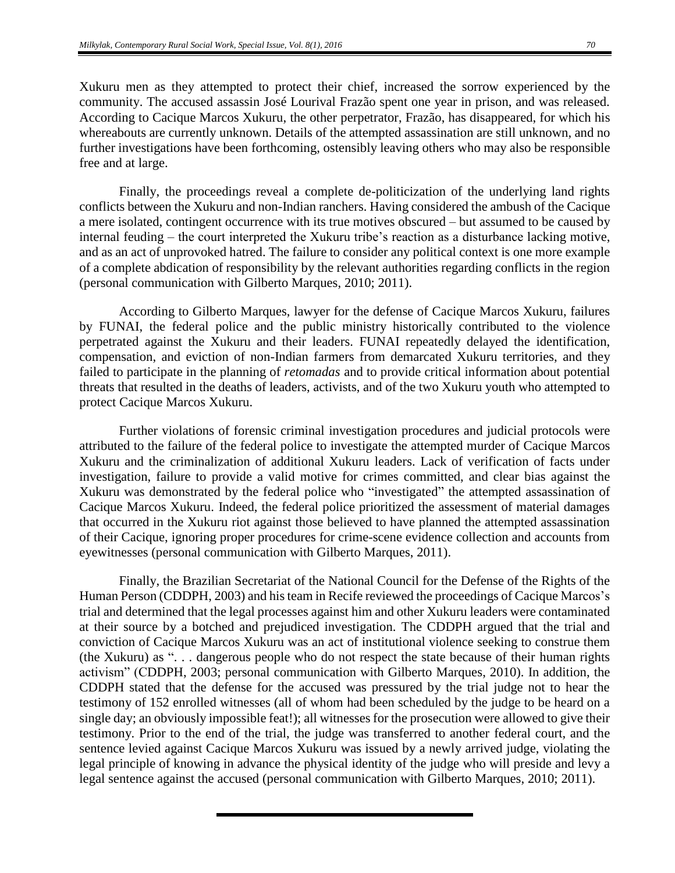Xukuru men as they attempted to protect their chief, increased the sorrow experienced by the community. The accused assassin José Lourival Frazão spent one year in prison, and was released. According to Cacique Marcos Xukuru, the other perpetrator, Frazão, has disappeared, for which his whereabouts are currently unknown. Details of the attempted assassination are still unknown, and no further investigations have been forthcoming, ostensibly leaving others who may also be responsible free and at large.

Finally, the proceedings reveal a complete de-politicization of the underlying land rights conflicts between the Xukuru and non-Indian ranchers. Having considered the ambush of the Cacique a mere isolated, contingent occurrence with its true motives obscured – but assumed to be caused by internal feuding – the court interpreted the Xukuru tribe's reaction as a disturbance lacking motive, and as an act of unprovoked hatred. The failure to consider any political context is one more example of a complete abdication of responsibility by the relevant authorities regarding conflicts in the region (personal communication with Gilberto Marques, 2010; 2011).

According to Gilberto Marques, lawyer for the defense of Cacique Marcos Xukuru, failures by FUNAI, the federal police and the public ministry historically contributed to the violence perpetrated against the Xukuru and their leaders. FUNAI repeatedly delayed the identification, compensation, and eviction of non-Indian farmers from demarcated Xukuru territories, and they failed to participate in the planning of *retomadas* and to provide critical information about potential threats that resulted in the deaths of leaders, activists, and of the two Xukuru youth who attempted to protect Cacique Marcos Xukuru.

Further violations of forensic criminal investigation procedures and judicial protocols were attributed to the failure of the federal police to investigate the attempted murder of Cacique Marcos Xukuru and the criminalization of additional Xukuru leaders. Lack of verification of facts under investigation, failure to provide a valid motive for crimes committed, and clear bias against the Xukuru was demonstrated by the federal police who "investigated" the attempted assassination of Cacique Marcos Xukuru. Indeed, the federal police prioritized the assessment of material damages that occurred in the Xukuru riot against those believed to have planned the attempted assassination of their Cacique, ignoring proper procedures for crime-scene evidence collection and accounts from eyewitnesses (personal communication with Gilberto Marques, 2011).

Finally, the Brazilian Secretariat of the National Council for the Defense of the Rights of the Human Person (CDDPH, 2003) and his team in Recife reviewed the proceedings of Cacique Marcos's trial and determined that the legal processes against him and other Xukuru leaders were contaminated at their source by a botched and prejudiced investigation. The CDDPH argued that the trial and conviction of Cacique Marcos Xukuru was an act of institutional violence seeking to construe them (the Xukuru) as ". . . dangerous people who do not respect the state because of their human rights activism" (CDDPH, 2003; personal communication with Gilberto Marques, 2010). In addition, the CDDPH stated that the defense for the accused was pressured by the trial judge not to hear the testimony of 152 enrolled witnesses (all of whom had been scheduled by the judge to be heard on a single day; an obviously impossible feat!); all witnesses for the prosecution were allowed to give their testimony. Prior to the end of the trial, the judge was transferred to another federal court, and the sentence levied against Cacique Marcos Xukuru was issued by a newly arrived judge, violating the legal principle of knowing in advance the physical identity of the judge who will preside and levy a legal sentence against the accused (personal communication with Gilberto Marques, 2010; 2011).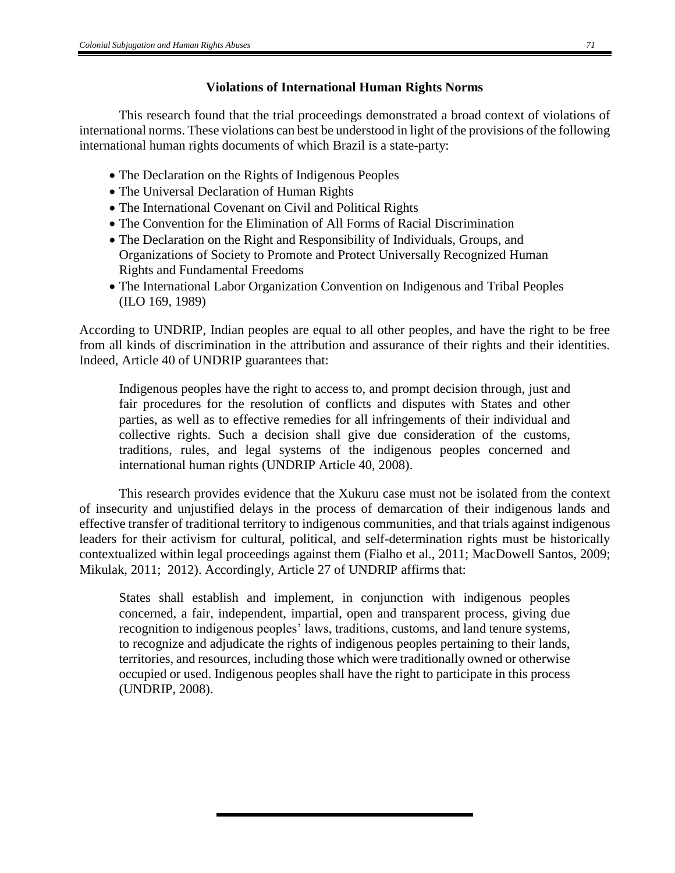# **Violations of International Human Rights Norms**

This research found that the trial proceedings demonstrated a broad context of violations of international norms. These violations can best be understood in light of the provisions of the following international human rights documents of which Brazil is a state-party:

- The Declaration on the Rights of Indigenous Peoples
- The Universal Declaration of Human Rights
- The International Covenant on Civil and Political Rights
- The Convention for the Elimination of All Forms of Racial Discrimination
- The Declaration on the Right and Responsibility of Individuals, Groups, and Organizations of Society to Promote and Protect Universally Recognized Human Rights and Fundamental Freedoms
- The International Labor Organization Convention on Indigenous and Tribal Peoples (ILO 169, 1989)

According to UNDRIP, Indian peoples are equal to all other peoples, and have the right to be free from all kinds of discrimination in the attribution and assurance of their rights and their identities. Indeed, Article 40 of UNDRIP guarantees that:

Indigenous peoples have the right to access to, and prompt decision through, just and fair procedures for the resolution of conflicts and disputes with States and other parties, as well as to effective remedies for all infringements of their individual and collective rights. Such a decision shall give due consideration of the customs, traditions, rules, and legal systems of the indigenous peoples concerned and international human rights (UNDRIP Article 40, 2008).

This research provides evidence that the Xukuru case must not be isolated from the context of insecurity and unjustified delays in the process of demarcation of their indigenous lands and effective transfer of traditional territory to indigenous communities, and that trials against indigenous leaders for their activism for cultural, political, and self-determination rights must be historically contextualized within legal proceedings against them (Fialho et al., 2011; MacDowell Santos, 2009; Mikulak, 2011; 2012). Accordingly, Article 27 of UNDRIP affirms that:

States shall establish and implement, in conjunction with indigenous peoples concerned, a fair, independent, impartial, open and transparent process, giving due recognition to indigenous peoples' laws, traditions, customs, and land tenure systems, to recognize and adjudicate the rights of indigenous peoples pertaining to their lands, territories, and resources, including those which were traditionally owned or otherwise occupied or used. Indigenous peoples shall have the right to participate in this process (UNDRIP, 2008).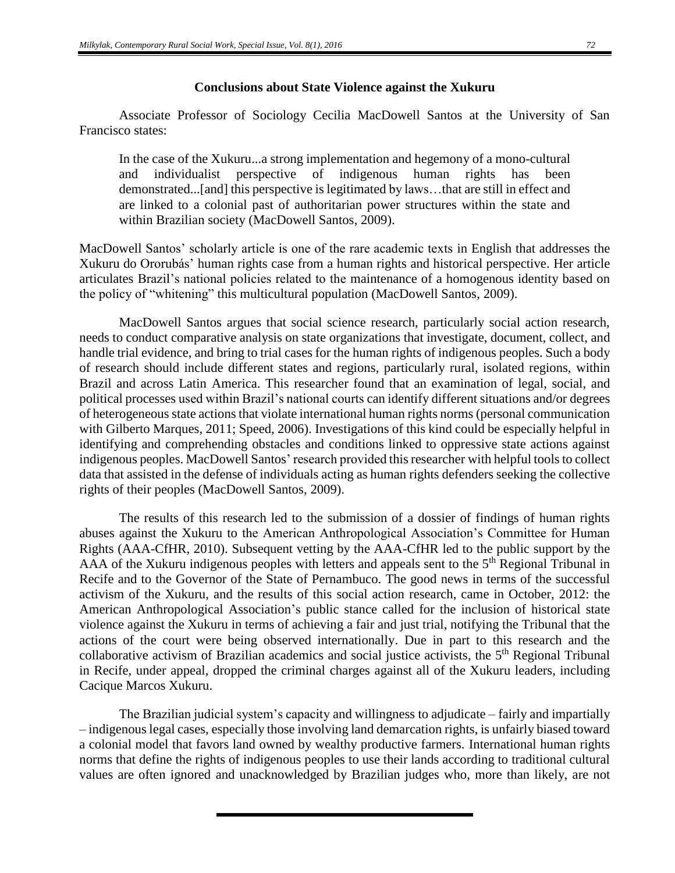#### **Conclusions about State Violence against the Xukuru**

Associate Professor of Sociology Cecilia MacDowell Santos at the University of San Francisco states:

In the case of the Xukuru...a strong implementation and hegemony of a mono-cultural and individualist perspective of indigenous human rights has been demonstrated...[and] this perspective is legitimated by laws…that are still in effect and are linked to a colonial past of authoritarian power structures within the state and within Brazilian society (MacDowell Santos, 2009).

MacDowell Santos' scholarly article is one of the rare academic texts in English that addresses the Xukuru do Ororubás' human rights case from a human rights and historical perspective. Her article articulates Brazil's national policies related to the maintenance of a homogenous identity based on the policy of "whitening" this multicultural population (MacDowell Santos, 2009).

MacDowell Santos argues that social science research, particularly social action research, needs to conduct comparative analysis on state organizations that investigate, document, collect, and handle trial evidence, and bring to trial cases for the human rights of indigenous peoples. Such a body of research should include different states and regions, particularly rural, isolated regions, within Brazil and across Latin America. This researcher found that an examination of legal, social, and political processes used within Brazil's national courts can identify different situations and/or degrees of heterogeneous state actions that violate international human rights norms (personal communication with Gilberto Marques, 2011; Speed, 2006). Investigations of this kind could be especially helpful in identifying and comprehending obstacles and conditions linked to oppressive state actions against indigenous peoples. MacDowell Santos' research provided this researcher with helpful tools to collect data that assisted in the defense of individuals acting as human rights defenders seeking the collective rights of their peoples (MacDowell Santos, 2009).

The results of this research led to the submission of a dossier of findings of human rights abuses against the Xukuru to the American Anthropological Association's Committee for Human Rights (AAA-CfHR, 2010). Subsequent vetting by the AAA-CfHR led to the public support by the AAA of the Xukuru indigenous peoples with letters and appeals sent to the 5<sup>th</sup> Regional Tribunal in Recife and to the Governor of the State of Pernambuco. The good news in terms of the successful activism of the Xukuru, and the results of this social action research, came in October, 2012: the American Anthropological Association's public stance called for the inclusion of historical state violence against the Xukuru in terms of achieving a fair and just trial, notifying the Tribunal that the actions of the court were being observed internationally. Due in part to this research and the collaborative activism of Brazilian academics and social justice activists, the  $5<sup>th</sup>$  Regional Tribunal in Recife, under appeal, dropped the criminal charges against all of the Xukuru leaders, including Cacique Marcos Xukuru.

The Brazilian judicial system's capacity and willingness to adjudicate – fairly and impartially – indigenous legal cases, especially those involving land demarcation rights, is unfairly biased toward a colonial model that favors land owned by wealthy productive farmers. International human rights norms that define the rights of indigenous peoples to use their lands according to traditional cultural values are often ignored and unacknowledged by Brazilian judges who, more than likely, are not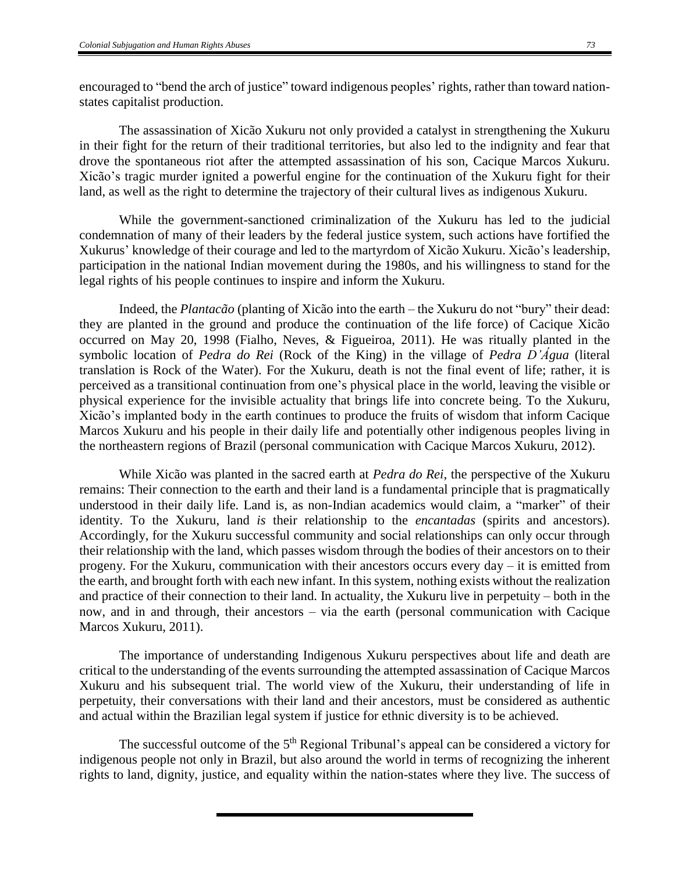encouraged to "bend the arch of justice" toward indigenous peoples' rights, rather than toward nationstates capitalist production.

The assassination of Xicão Xukuru not only provided a catalyst in strengthening the Xukuru in their fight for the return of their traditional territories, but also led to the indignity and fear that drove the spontaneous riot after the attempted assassination of his son, Cacique Marcos Xukuru. Xicão's tragic murder ignited a powerful engine for the continuation of the Xukuru fight for their land, as well as the right to determine the trajectory of their cultural lives as indigenous Xukuru.

While the government-sanctioned criminalization of the Xukuru has led to the judicial condemnation of many of their leaders by the federal justice system, such actions have fortified the Xukurus' knowledge of their courage and led to the martyrdom of Xicão Xukuru. Xicão's leadership, participation in the national Indian movement during the 1980s, and his willingness to stand for the legal rights of his people continues to inspire and inform the Xukuru.

Indeed, the *Plantacão* (planting of Xicão into the earth – the Xukuru do not "bury" their dead: they are planted in the ground and produce the continuation of the life force) of Cacique Xicão occurred on May 20, 1998 (Fialho, Neves, & Figueiroa, 2011). He was ritually planted in the symbolic location of *Pedra do Rei* (Rock of the King) in the village of *Pedra D'Água* (literal translation is Rock of the Water). For the Xukuru, death is not the final event of life; rather, it is perceived as a transitional continuation from one's physical place in the world, leaving the visible or physical experience for the invisible actuality that brings life into concrete being. To the Xukuru, Xicão's implanted body in the earth continues to produce the fruits of wisdom that inform Cacique Marcos Xukuru and his people in their daily life and potentially other indigenous peoples living in the northeastern regions of Brazil (personal communication with Cacique Marcos Xukuru, 2012).

While Xicão was planted in the sacred earth at *Pedra do Rei*, the perspective of the Xukuru remains: Their connection to the earth and their land is a fundamental principle that is pragmatically understood in their daily life. Land is, as non-Indian academics would claim, a "marker" of their identity. To the Xukuru, land *is* their relationship to the *encantadas* (spirits and ancestors). Accordingly, for the Xukuru successful community and social relationships can only occur through their relationship with the land, which passes wisdom through the bodies of their ancestors on to their progeny. For the Xukuru, communication with their ancestors occurs every day – it is emitted from the earth, and brought forth with each new infant. In this system, nothing exists without the realization and practice of their connection to their land. In actuality, the Xukuru live in perpetuity – both in the now, and in and through, their ancestors – via the earth (personal communication with Cacique Marcos Xukuru, 2011).

The importance of understanding Indigenous Xukuru perspectives about life and death are critical to the understanding of the events surrounding the attempted assassination of Cacique Marcos Xukuru and his subsequent trial. The world view of the Xukuru, their understanding of life in perpetuity, their conversations with their land and their ancestors, must be considered as authentic and actual within the Brazilian legal system if justice for ethnic diversity is to be achieved.

The successful outcome of the  $5<sup>th</sup>$  Regional Tribunal's appeal can be considered a victory for indigenous people not only in Brazil, but also around the world in terms of recognizing the inherent rights to land, dignity, justice, and equality within the nation-states where they live. The success of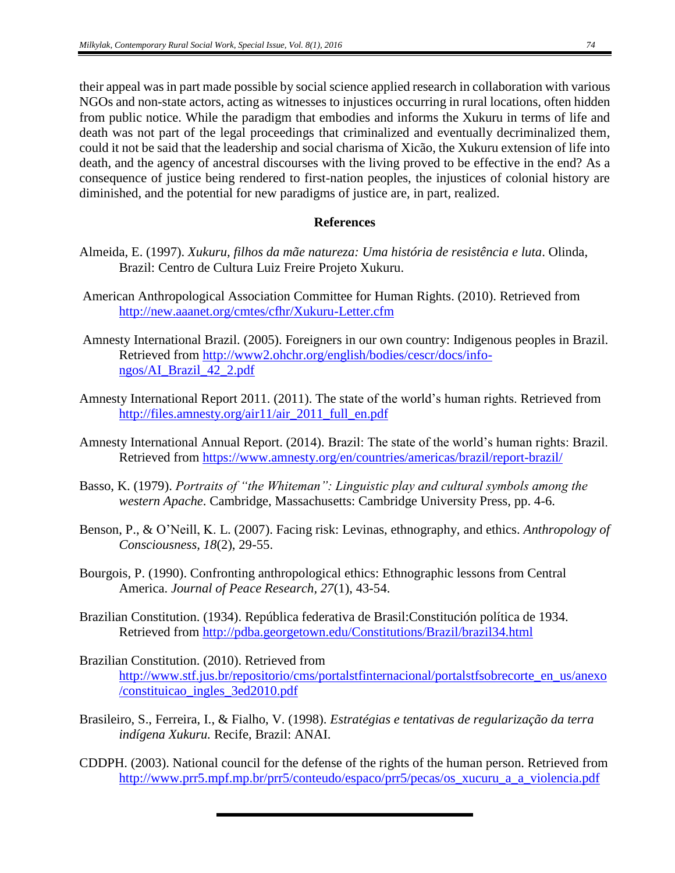their appeal was in part made possible by social science applied research in collaboration with various NGOs and non-state actors, acting as witnesses to injustices occurring in rural locations, often hidden from public notice. While the paradigm that embodies and informs the Xukuru in terms of life and death was not part of the legal proceedings that criminalized and eventually decriminalized them, could it not be said that the leadership and social charisma of Xicão, the Xukuru extension of life into death, and the agency of ancestral discourses with the living proved to be effective in the end? As a consequence of justice being rendered to first-nation peoples, the injustices of colonial history are diminished, and the potential for new paradigms of justice are, in part, realized.

## **References**

- Almeida, E. (1997). *Xukuru, filhos da mãe natureza: Uma história de resistência e luta*. Olinda, Brazil: Centro de Cultura Luiz Freire Projeto Xukuru.
- American Anthropological Association Committee for Human Rights. (2010). Retrieved from <http://new.aaanet.org/cmtes/cfhr/Xukuru-Letter.cfm>
- Amnesty International Brazil. (2005). Foreigners in our own country: Indigenous peoples in Brazil. Retrieved from [http://www2.ohchr.org/english/bodies/cescr/docs/info](http://www2.ohchr.org/english/bodies/cescr/docs/info-ngos/AI_Brazil_42_2.pdf)[ngos/AI\\_Brazil\\_42\\_2.pdf](http://www2.ohchr.org/english/bodies/cescr/docs/info-ngos/AI_Brazil_42_2.pdf)
- Amnesty International Report 2011. (2011). The state of the world's human rights. Retrieved from [http://files.amnesty.org/air11/air\\_2011\\_full\\_en.pdf](http://files.amnesty.org/air11/air_2011_full_en.pdf)
- Amnesty International Annual Report. (2014). Brazil: The state of the world's human rights: Brazil. Retrieved from<https://www.amnesty.org/en/countries/americas/brazil/report-brazil/>
- Basso, K. (1979). *Portraits of "the Whiteman": Linguistic play and cultural symbols among the western Apache*. Cambridge, Massachusetts: Cambridge University Press, pp. 4-6.
- Benson, P., & O'Neill, K. L. (2007). Facing risk: Levinas, ethnography, and ethics. *Anthropology of Consciousness, 18*(2), 29-55.
- Bourgois, P. (1990). Confronting anthropological ethics: Ethnographic lessons from Central America. *Journal of Peace Research, 27*(1), 43-54.
- Brazilian Constitution. (1934). República federativa de Brasil:Constitución política de 1934. Retrieved from<http://pdba.georgetown.edu/Constitutions/Brazil/brazil34.html>
- Brazilian Constitution. (2010). Retrieved from [http://www.stf.jus.br/repositorio/cms/portalstfinternacional/portalstfsobrecorte\\_en\\_us/anexo](http://www.stf.jus.br/repositorio/cms/portalstfinternacional/portalstfsobrecorte_en_us/anexo/constituicao_ingles_3ed2010.pdf) [/constituicao\\_ingles\\_3ed2010.pdf](http://www.stf.jus.br/repositorio/cms/portalstfinternacional/portalstfsobrecorte_en_us/anexo/constituicao_ingles_3ed2010.pdf)
- Brasileiro, S., Ferreira, I., & Fialho, V. (1998). *Estratégias e tentativas de regularização da terra indígena Xukuru.* Recife, Brazil: ANAI.
- CDDPH. (2003). National council for the defense of the rights of the human person. Retrieved from [http://www.prr5.mpf.mp.br/prr5/conteudo/espaco/prr5/pecas/os\\_xucuru\\_a\\_a\\_violencia.pdf](http://www.prr5.mpf.mp.br/prr5/conteudo/espaco/prr5/pecas/os_xucuru_a_a_violencia.pdf)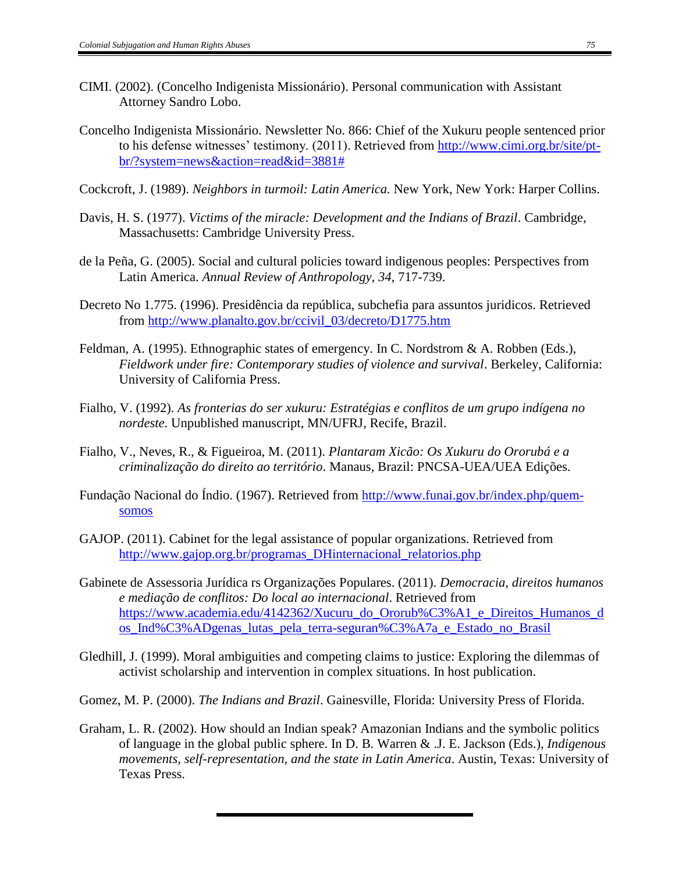- CIMI. (2002). (Concelho Indigenista Missionário). Personal communication with Assistant Attorney Sandro Lobo.
- Concelho Indigenista Missionário. Newsletter No. 866: Chief of the Xukuru people sentenced prior to his defense witnesses' testimony. (2011). Retrieved from [http://www.cimi.org.br/site/pt](http://www.cimi.org.br/site/pt-br/?system=news&action=read&id=3881)[br/?system=news&action=read&id=3881#](http://www.cimi.org.br/site/pt-br/?system=news&action=read&id=3881)
- Cockcroft, J. (1989). *Neighbors in turmoil: Latin America.* New York, New York: Harper Collins.
- Davis, H. S. (1977). *Victims of the miracle: Development and the Indians of Brazil*. Cambridge, Massachusetts: Cambridge University Press.
- de la Peña, G. (2005). Social and cultural policies toward indigenous peoples: Perspectives from Latin America. *Annual Review of Anthropology, 34*, 717-739.
- Decreto No 1.775. (1996). Presidência da república, subchefia para assuntos juridicos. Retrieved from [http://www.planalto.gov.br/ccivil\\_03/decreto/D1775.htm](http://www.planalto.gov.br/ccivil_03/decreto/D1775.htm)
- Feldman, A. (1995). Ethnographic states of emergency. In C. Nordstrom & A. Robben (Eds.), *Fieldwork under fire: Contemporary studies of violence and survival*. Berkeley, California: University of California Press.
- Fialho, V. (1992). *As fronterias do ser xukuru: Estratégias e conflitos de um grupo indígena no nordeste.* Unpublished manuscript, MN/UFRJ, Recife, Brazil.
- Fialho, V., Neves, R., & Figueiroa, M. (2011). *Plantaram Xicão: Os Xukuru do Ororubá e a criminalização do direito ao território*. Manaus, Brazil: PNCSA-UEA/UEA Edições.
- Fundação Nacional do Índio. (1967). Retrieved from [http://www.funai.gov.br/index.php/quem](http://www.funai.gov.br/index.php/quem-somos)[somos](http://www.funai.gov.br/index.php/quem-somos)
- GAJOP. (2011). Cabinet for the legal assistance of popular organizations. Retrieved from [http://www.gajop.org.br/programas\\_DHinternacional\\_relatorios.php](http://www.gajop.org.br/programas_DHinternacional_relatorios.php)
- Gabinete de Assessoria Jurídica rs Organizações Populares. (2011). *Democracia, direitos humanos e mediação de conflitos: Do local ao internacional*. Retrieved from [https://www.academia.edu/4142362/Xucuru\\_do\\_Ororub%C3%A1\\_e\\_Direitos\\_Humanos\\_d](https://www.academia.edu/4142362/Xucuru_do_Ororub%C3%A1_e_Direitos_Humanos_dos_Ind%C3%ADgenas_lutas_pela_terra-seguran%C3%A7a_e_Estado_no_Brasil) [os\\_Ind%C3%ADgenas\\_lutas\\_pela\\_terra-seguran%C3%A7a\\_e\\_Estado\\_no\\_Brasil](https://www.academia.edu/4142362/Xucuru_do_Ororub%C3%A1_e_Direitos_Humanos_dos_Ind%C3%ADgenas_lutas_pela_terra-seguran%C3%A7a_e_Estado_no_Brasil)
- Gledhill, J. (1999). Moral ambiguities and competing claims to justice: Exploring the dilemmas of activist scholarship and intervention in complex situations. In host publication.
- Gomez, M. P. (2000). *The Indians and Brazil*. Gainesville, Florida: University Press of Florida.
- Graham, L. R. (2002). How should an Indian speak? Amazonian Indians and the symbolic politics of language in the global public sphere. In D. B. Warren & .J. E. Jackson (Eds.), *Indigenous movements, self-representation, and the state in Latin America*. Austin, Texas: University of Texas Press.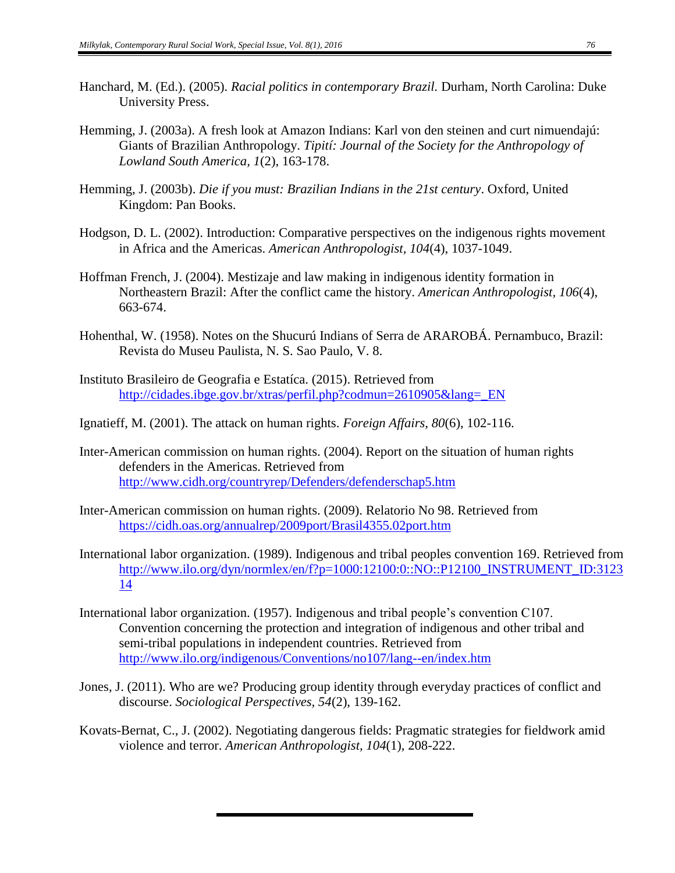- Hanchard, M. (Ed.). (2005). *Racial politics in contemporary Brazil.* Durham, North Carolina: Duke University Press.
- Hemming, J. (2003a). A fresh look at Amazon Indians: Karl von den steinen and curt nimuendajú: Giants of Brazilian Anthropology. *Tipití: Journal of the Society for the Anthropology of Lowland South America, 1*(2), 163-178.
- Hemming, J. (2003b). *Die if you must: Brazilian Indians in the 21st century*. Oxford, United Kingdom: Pan Books.
- Hodgson, D. L. (2002). Introduction: Comparative perspectives on the indigenous rights movement in Africa and the Americas. *American Anthropologist, 104*(4), 1037-1049.
- Hoffman French, J. (2004). Mestizaje and law making in indigenous identity formation in Northeastern Brazil: After the conflict came the history. *American Anthropologist, 106*(4), 663-674.
- Hohenthal, W. (1958). Notes on the Shucurú Indians of Serra de ARAROBÁ. Pernambuco, Brazil: Revista do Museu Paulista, N. S. Sao Paulo, V. 8.
- Instituto Brasileiro de Geografia e Estatíca. (2015). Retrieved from [http://cidades.ibge.gov.br/xtras/perfil.php?codmun=2610905&lang=\\_EN](http://cidades.ibge.gov.br/xtras/perfil.php?codmun=2610905&lang=_EN)
- Ignatieff, M. (2001). The attack on human rights. *Foreign Affairs, 80*(6), 102-116.
- Inter-American commission on human rights. (2004). Report on the situation of human rights defenders in the Americas. Retrieved from <http://www.cidh.org/countryrep/Defenders/defenderschap5.htm>
- Inter-American commission on human rights. (2009). Relatorio No 98. Retrieved from <https://cidh.oas.org/annualrep/2009port/Brasil4355.02port.htm>
- International labor organization. (1989). Indigenous and tribal peoples convention 169. Retrieved from [http://www.ilo.org/dyn/normlex/en/f?p=1000:12100:0::NO::P12100\\_INSTRUMENT\\_ID:3123](http://www.ilo.org/dyn/normlex/en/f?p=1000:12100:0::NO::P12100_INSTRUMENT_ID:312314) [14](http://www.ilo.org/dyn/normlex/en/f?p=1000:12100:0::NO::P12100_INSTRUMENT_ID:312314)
- International labor organization. (1957). Indigenous and tribal people's convention C107. Convention concerning the protection and integration of indigenous and other tribal and semi-tribal populations in independent countries. Retrieved from <http://www.ilo.org/indigenous/Conventions/no107/lang--en/index.htm>
- Jones, J. (2011). Who are we? Producing group identity through everyday practices of conflict and discourse. *Sociological Perspectives, 54*(2), 139-162.
- Kovats-Bernat, C., J. (2002). Negotiating dangerous fields: Pragmatic strategies for fieldwork amid violence and terror. *American Anthropologist, 104*(1), 208-222.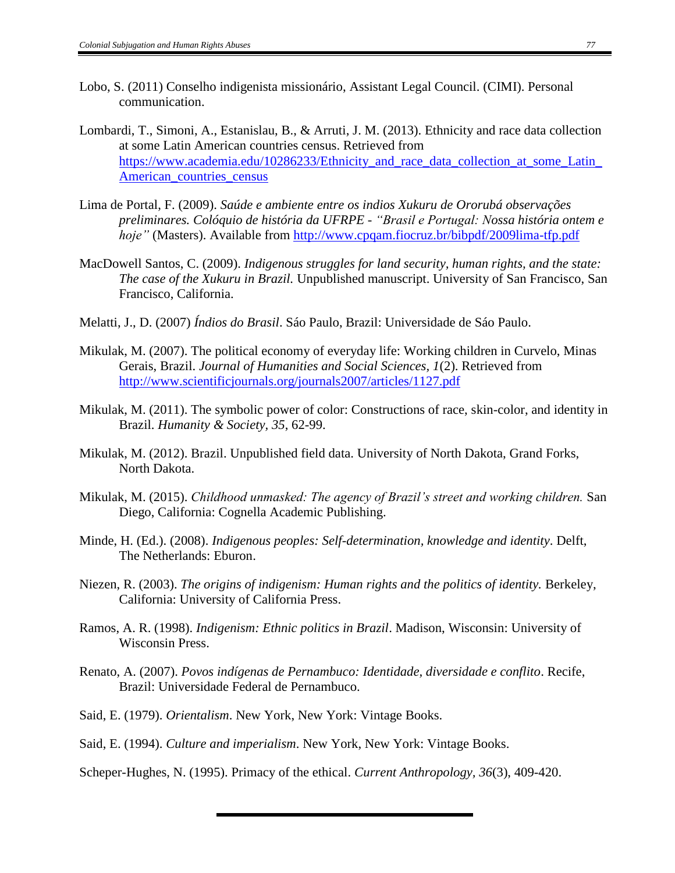- Lobo, S. (2011) Conselho indigenista missionário, Assistant Legal Council. (CIMI). Personal communication.
- Lombardi, T., Simoni, A., Estanislau, B., & Arruti, J. M. (2013). Ethnicity and race data collection at some Latin American countries census. Retrieved from https://www.academia.edu/10286233/Ethnicity and race data collection at some Latin [American\\_countries\\_census](https://www.academia.edu/10286233/Ethnicity_and_race_data_collection_at_some_Latin_American_countries_census)
- Lima de Portal, F. (2009). *Saúde e ambiente entre os indios Xukuru de Ororubá observações preliminares. Colóquio de história da UFRPE - "Brasil e Portugal: Nossa história ontem e hoje"* (Masters). Available from<http://www.cpqam.fiocruz.br/bibpdf/2009lima-tfp.pdf>
- MacDowell Santos, C. (2009). *Indigenous struggles for land security, human rights, and the state: The case of the Xukuru in Brazil.* Unpublished manuscript. University of San Francisco, San Francisco, California.
- Melatti, J., D. (2007) *Índios do Brasil*. Sáo Paulo, Brazil: Universidade de Sáo Paulo.
- Mikulak, M. (2007). The political economy of everyday life: Working children in Curvelo, Minas Gerais, Brazil. *Journal of Humanities and Social Sciences, 1*(2). Retrieved from <http://www.scientificjournals.org/journals2007/articles/1127.pdf>
- Mikulak, M. (2011). The symbolic power of color: Constructions of race, skin-color, and identity in Brazil. *Humanity & Society, 35*, 62-99.
- Mikulak, M. (2012). Brazil. Unpublished field data. University of North Dakota, Grand Forks, North Dakota.
- Mikulak, M. (2015). *Childhood unmasked: The agency of Brazil's street and working children.* San Diego, California: Cognella Academic Publishing.
- Minde, H. (Ed.). (2008). *Indigenous peoples: Self-determination, knowledge and identity*. Delft, The Netherlands: Eburon.
- Niezen, R. (2003). *The origins of indigenism: Human rights and the politics of identity.* Berkeley, California: University of California Press.
- Ramos, A. R. (1998). *Indigenism: Ethnic politics in Brazil*. Madison, Wisconsin: University of Wisconsin Press.
- Renato, A. (2007). *Povos indígenas de Pernambuco: Identidade, diversidade e conflito*. Recife, Brazil: Universidade Federal de Pernambuco.
- Said, E. (1979). *Orientalism*. New York, New York: Vintage Books.
- Said, E. (1994). *Culture and imperialism*. New York, New York: Vintage Books.
- Scheper-Hughes, N. (1995). Primacy of the ethical. *Current Anthropology, 36*(3), 409-420.